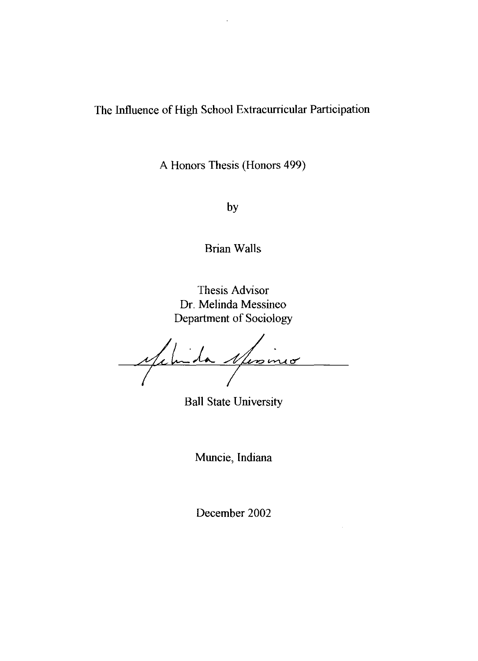The Influence of High School Extracurricular Participation

A Honors Thesis (Honors 499)

by

Brian Walls

Thesis Advisor Dr. Melinda Messineo Department of Sociology

Memda Misines

Ball State University

Muncie, Indiana

December 2002

 $\bar{z}$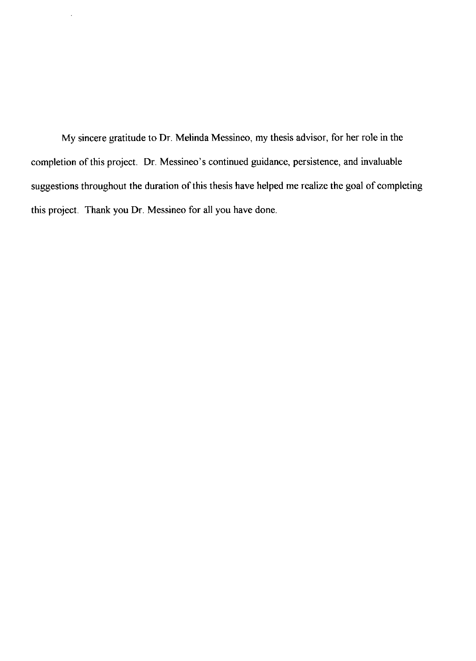My sincere gratitude to Dr. Melinda Messineo, my thesis advisor, for her role in the completion of this project. Dr. Messineo's continued guidance, persistence, and invaluable suggestions throughout the duration of this thesis have helped me realize the goal of completing this project. Thank you Dr. Messineo for all you have done.

 $\bar{\bar{z}}$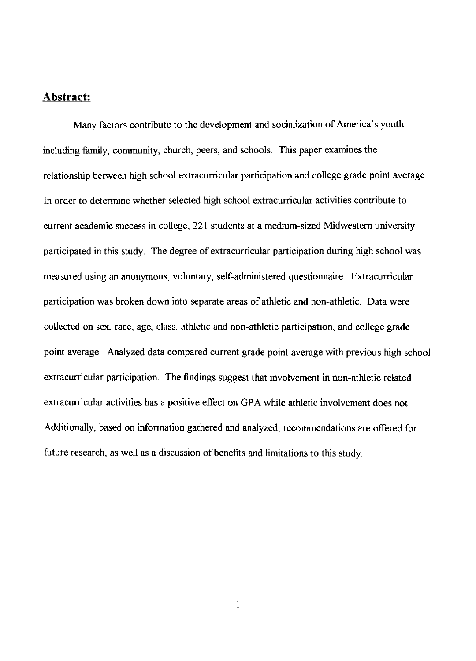### **Abstract:**

Many factors contribute to the development and socialization of America's youth including family, community, church, peers, and schools. This paper examines the relationship between high school extracurricular participation and college grade point average. In order to determine whether selected high school extracurricular activities contribute to current academic success in college, 221 students at a medium-sized Midwestern university participated in this study. The degree of extracurricular participation during high school was measured using an anonymous, voluntary, self-administered questionnaire. Extracurricular participation was broken down into separate areas of athletic and non-athletic. Data were collected on sex, race, age, class, athletic and non-athletic participation, and college grade point average. Analyzed data compared current grade point average with previous high school extracurricular participation. The findings suggest that involvement in non-athletic related extracurricular activities has a positive effect on GPA while athletic involvement does not. Additionally, based on information gathered and analyzed, recommendations are offered for future research, as well as a discussion of benefits and limitations to this study.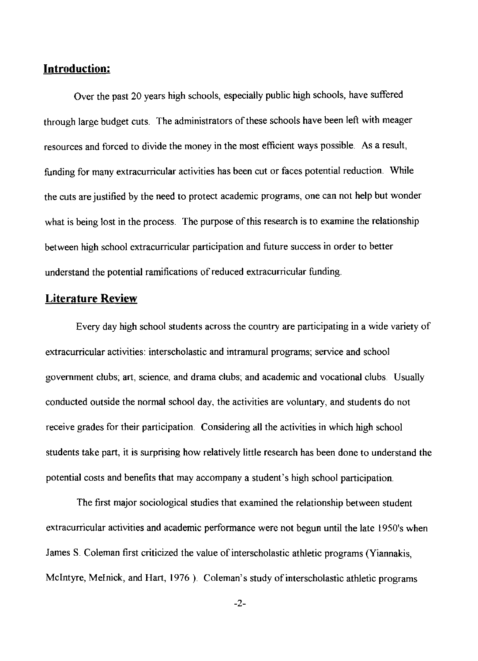### **Introduction:**

Over the past 20 years high schools, especially public high schools, have suffered through large budget cuts. The administrators of these schools have been left with meager resources and forced to divide the money in the most efficient ways possible. As a result, funding for many extracurricular activities has been cut or faces potential reduction. While the cuts are justified by the need to protect academic programs, one can not help but wonder what is being lost in the process. The purpose of this research is to examine the relationship between high school extracurricular participation and future success in order to better understand the potential ramifications of reduced extracurricular funding.

#### **Literature Review**

Every day high school students across the country are participating in a wide variety of extracurricular activities: interscholastic and intramural programs; service and school government clubs; art, science, and drama clubs; and academic and vocational clubs. Usually conducted outside the normal school day, the activities are voluntary, and students do not receive grades for their participation. Considering all the activities in which high school students take part, it is surprising how relatively little research has been done to understand the potential costs and benefits that may accompany a student's high school participation.

The first major sociological studies that examined the relationship between student extracurricular activities and academic performance were not begun until the late 1950's when James S. Coleman first criticized the value of interscholastic athletic programs (Yiannakis, McIntyre, Melnick, and Hart, 1976). Coleman's study of interscholastic athletic programs

-2-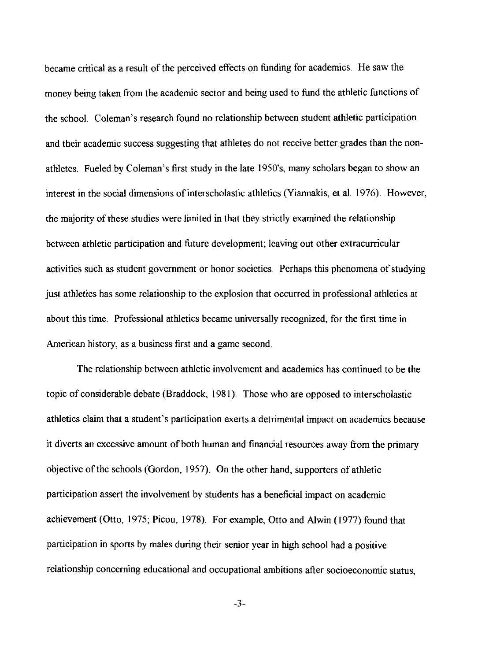became critical as a result of the perceived effects on funding for academics. He saw the money being taken from the academic sector and being used to fund the athletic functions of the schooL Coleman's research found no relationship between student athletic participation and their academic success suggesting that athletes do not receive better grades than the nonathletes. Fueled by Coleman's first study in the late 1950's, many scholars began to show an interest in the social dimensions of interscholastic athletics (Yiannakis, et al. 1976). However, the majority of these studies were limited in that they strictly examined the relationship between athletic participation and future development; leaving out other extracurricular activities such as student government or honor societies. Perhaps this phenomena of studying just athletics has some relationship to the explosion that occurred in professional athletics at about this time. Professional athletics became universally recognized, for the first time in American history, as a business first and a game second.

The relationship between athletic involvement and academics has continued to be the topic of considerable debate (Braddock, 1981). Those who are opposed to interscholastic athletics claim that a student's participation exerts a detrimental impact on academics because it diverts an excessive amount of both human and financial resources away from the primary objective of the schools (Gordon, 1957). On the other hand, supporters of athletic participation assert the involvement by students has a beneficial impact on academic achievement (Otto, 1975; Picou, 1978). For example, Otto and Alwin (1977) found that participation in sports by males during their senior year in high school had a positive relationship concerning educational and occupational ambitions after socioeconomic status,

-3-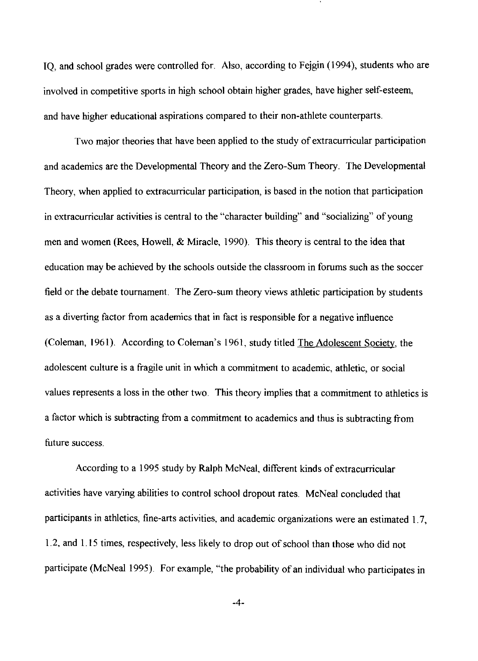IQ, and school grades were controlled for. Also, according to Fejgin (1994), students who are involved in competitive sports in high school obtain higher grades, have higher self-esteem, and have higher educational aspirations compared to their non-athlete counterparts.

Two major theories that have been applied to the study of extracurricular participation and academics are the Developmental Theory and the Zero-Sum Theory. The Developmental Theory, when applied to extracurricular participation, is based in the notion that participation in extracurricular activities is central to the "character building" and "socializing" of young men and women (Rees, Howell, & Miracle, 1990). This theory is central to the idea that education may be achieved by the schools outside the classroom in forums such as the soccer field or the debate tournament. The Zero-sum theory views athletic participation by students as a diverting factor from academics that in fact is responsible for a negative influence (Coleman, 1961). According to Coleman's 1961, study titled The Adolescent Society, the adolescent culture is a fragile unit in which a commitment to academic, athletic, or social values represents a loss in the other two. This theory implies that a commitment to athletics is a factor which is subtracting from a commitment to academics and thus is subtracting from future success.

According to a 1995 study by Ralph McNeal, different kinds of extracurricular activities have varying abilities to control school dropout rates. McNeal concluded that participants in athletics, fine-arts activities, and academic organizations were an estimated 1.7, 1.2, and 1.15 times, respectively, less likely to drop out of school than those who did not participate (McNeal 1995). For example, "the probability of an individual who participates in

-4-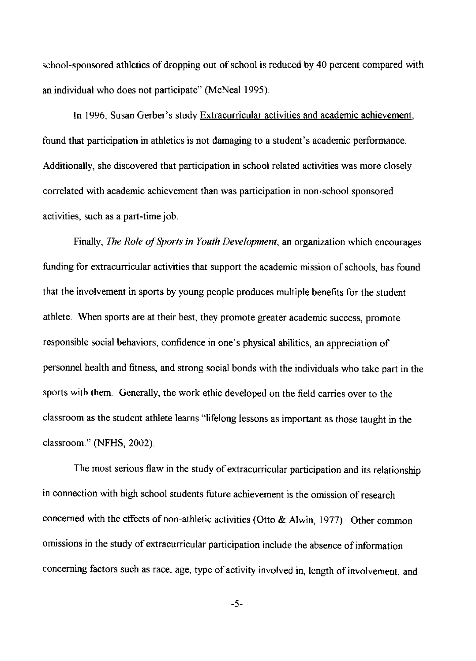school-sponsored athletics of dropping out of school is reduced by 40 percent compared with an individual who does not participate" (McNeal 1995).

In 1996, Susan Gerber's study Extracurricular activities and academic achievement, found that participation in athletics is not damaging to a student's academic performance. Additionally, she discovered that participation in school related activities was more closely correlated with academic achievement than was participation in non-school sponsored activities, such as a part-time job.

Finally, *The Role of Sports in Youth Development,* an organization which encourages funding for extracurricular activities that support the academic mission of schools, has found that the involvement in sports by young people produces multiple benefits for the student athlete. When sports are at their best, they promote greater academic success, promote responsible social behaviors, confidence in one's physical abilities, an appreciation of personnel health and fitness, and strong social bonds with the individuals who take part in the sports with them. Generally, the work ethic developed on the field carries over to the classroom as the student athlete learns "lifelong lessons as important as those taught in the classroom." (NFHS, 2002).

The most serious flaw in the study of extracurricular participation and its relationship in connection with high school students future achievement is the omission of research concerned with the effects of non-athletic activities (Otto  $&$  Alwin, 1977). Other common omissions in the study of extracurricular participation include the absence of information concerning factors such as race, age, type of activity involved in, length of involvement, and

-5-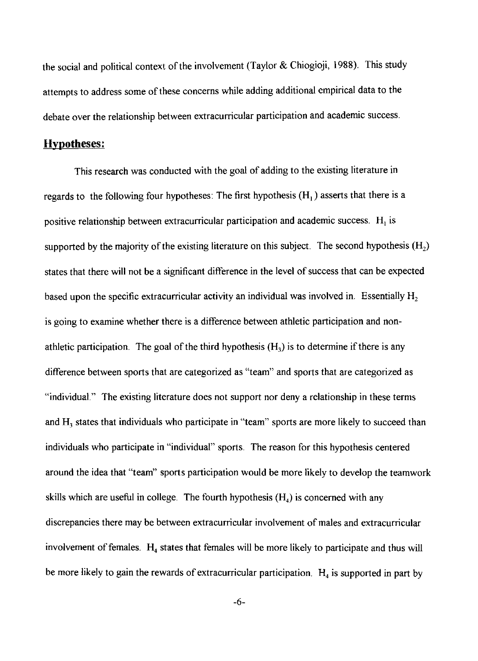the social and political context of the involvement (Taylor & Chiogioji, 1988). This study attempts to address some of these concerns while adding additional empirical data to the debate over the relationship between extracurricular participation and academic success.

### **Hypotheses:**

This research was conducted with the goal of adding to the existing literature in regards to the following four hypotheses: The first hypothesis  $(H_1)$  asserts that there is a positive relationship between extracurricular participation and academic success.  $H_1$  is supported by the majority of the existing literature on this subject. The second hypothesis  $(H<sub>2</sub>)$ states that there will not be a significant difference in the level of success that can be expected based upon the specific extracurricular activity an individual was involved in. Essentially  $H_2$ is going to examine whether there is a difference between athletic participation and nonathletic participation. The goal of the third hypothesis  $(H_3)$  is to determine if there is any difference between sports that are categorized as "team" and sports that are categorized as "individual." The existing literature does not support nor deny a relationship in these terms and H<sub>3</sub> states that individuals who participate in "team" sports are more likely to succeed than individuals who participate in "individual" sports. The reason for this hypothesis centered around the idea that "team" sports participation would be more likely to develop the teamwork skills which are useful in college. The fourth hypothesis  $(H<sub>4</sub>)$  is concerned with any discrepancies there may be between extracurricular involvement of males and extracurricular involvement of females.  $H_4$  states that females will be more likely to participate and thus will be more likely to gain the rewards of extracurricular participation.  $H_4$  is supported in part by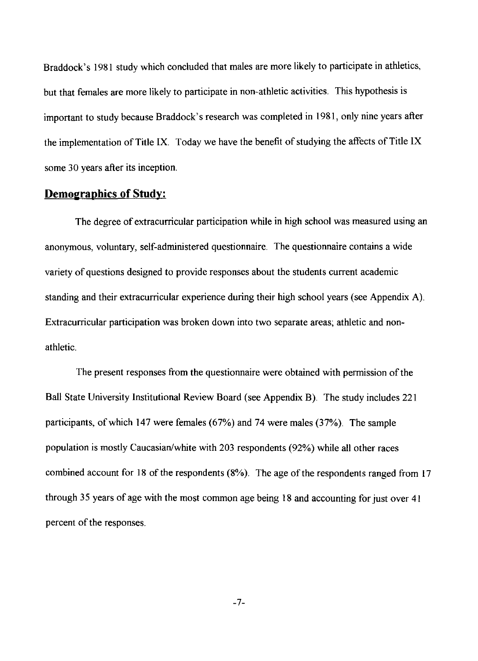Braddock's 1981 study which concluded that males are more likely to participate in athletics, but that females are more likely to participate in non-athletic activities. This hypothesis is important to study because Braddock's research was completed in 1981, only nine years after the implementation of Title IX. Today we have the benefit of studying the affects of Title IX some 30 years after its inception.

## **Demographics of Study:**

The degree of extracurricular participation while in high school was measured using an anonymous, voluntary, self-administered questionnaire. The questionnaire contains a wide variety of questions designed to provide responses about the students current academic standing and their extracurricular experience during their high school years (see Appendix A). Extracurricular participation was broken down into two separate areas; athletic and nonathletic.

The present responses from the questionnaire were obtained with permission of the Ball State University Institutional Review Board (see Appendix B). The study includes 221 participants, of which 147 were females (67%) and 74 were males (37%). The sample population is mostly Caucasian/white with 203 respondents (92%) while all other races combined account for 18 of the respondents (8%). The age of the respondents ranged from 17 through 35 years of age with the most common age being 18 and accounting for just over 41 percent of the responses.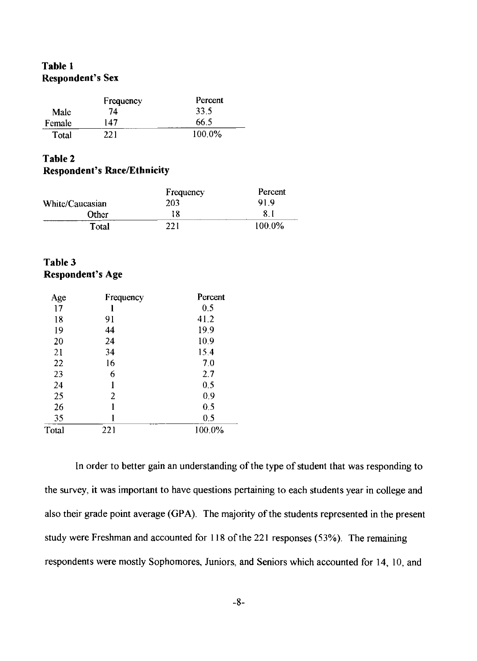## **Table 1 Respondent's Sex**

|        | Frequency | Percent |
|--------|-----------|---------|
| Male   | 74        | 33.5    |
| Female | 147       | 66.5    |
| Total  | 221       | 100.0%  |

### **Table 2 Respondent's RacelEthnicity**

|                 | Frequency | Percent   |
|-----------------|-----------|-----------|
| White/Caucasian | 203       | 91.9      |
| Other           | 18        | 8.1       |
| Total           | 221       | $100.0\%$ |

### **Table 3 Respondent's Age**

| Age   | Frequency | Percent |
|-------|-----------|---------|
| 17    | ı         | 0.5     |
| 18    | 91        | 41.2    |
| 19    | 44        | 19.9    |
| 20    | 24        | 10.9    |
| 21    | 34        | 15.4    |
| 22    | 16        | 7.0     |
| 23    | 6         | 2.7     |
| 24    | 1         | 0.5     |
| 25    | 2         | 0.9     |
| 26    |           | 0.5     |
| 35    |           | 0.5     |
| Total | 221       | 100.0%  |
|       |           |         |

In order to better gain an understanding of the type of student that was responding to the survey, it was important to have questions pertaining to each students year in college and also their grade point average (GPA). The majority of the students represented in the present study were Freshman and accounted for 118 of the 221 responses (53%). The remaining respondents were mostly Sophomores, Juniors, and Seniors which accounted for 14, 10, and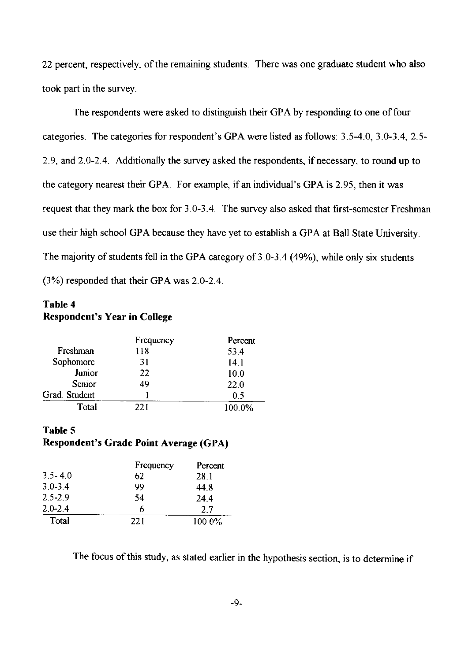22 percent, respectively, of the remaining students. There was one graduate student who also took part in the survey.

The respondents were asked to distinguish their GPA by responding to one of four categories. The categories for respondent's GPA were listed as follows: 3.5-4.0, 3.0-3.4, 2.5- 2.9, and 2.0-2.4. Additionally the survey asked the respondents, if necessary, to round up to the category nearest their GPA. For example, if an individual's GPA is 2.95, then it was request that they mark the box for 3.0-3.4. The survey also asked that first-semester Freshman use their high school GPA because they have yet to establish a GPA at Ball State University. The majority of students fell in the GPA category of 3.0-3.4 (49%), while only six students (3%) responded that their GPA was 2.0-2.4.

## Table 4 Respondent's Year in College

|              | Frequency | Percent |
|--------------|-----------|---------|
| Freshman     | 118       | 53.4    |
| Sophomore    | 31        | 14.1    |
| Junior       | 22        | 10.0    |
| Senior       | 49        | 22.0    |
| Grad Student |           | 05      |
| Total        | 221       | 100.0%  |

## Table 5 Respondent's Grade **Point** Average (GPA)

|             | Frequency | Percent |
|-------------|-----------|---------|
| $3.5 - 4.0$ | 62        | 28.1    |
| $3.0 - 3.4$ | 99        | 44.8    |
| $2.5 - 2.9$ | 54        | 24.4    |
| $20-24$     |           | 27      |
| Total       | 221       | 100.0%  |

The focus of this study, as stated earlier in the hypothesis section, is to determine if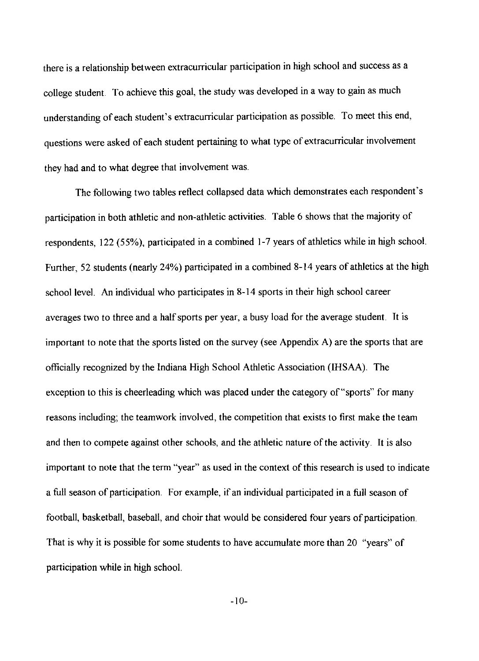there is a relationship between extracurricular participation in high school and success as a college student. To achieve this goal, the study was developed in a way to gain as much understanding of each student's extracurricular participation as possible. To meet this end, questions were asked of each student pertaining to what type of extracurricular involvement they had and to what degree that involvement was.

The following two tables reflect collapsed data which demonstrates each respondent's participation in both athletic and non-athletic activities. Table 6 shows that the majority of respondents, 122 (55%), participated in a combined 1-7 years of athletics while in high school. Further, 52 students (nearly 24%) participated in a combined 8-14 years of athletics at the high school level. An individual who participates in 8-14 sports in their high school career averages two to three and a half sports per year, a busy load for the average student. It is important to note that the sports listed on the survey (see Appendix A) are the sports that are officially recognized by the Indiana High School Athletic Association (IHSAA). The exception to this is cheerleading which was placed under the category of "sports" for many reasons including; the teamwork involved, the competition that exists to first make the team and then to compete against other schools, and the athletic nature of the activity. It is also important to note that the term "year" as used in the context of this research is used to indicate a full season of participation. For example, if an individual participated in a full season of football, basketball, baseball, and choir that would be considered four years of participation. That is why it is possible for some students to have accumulate more than 20 "years" of participation while in high school.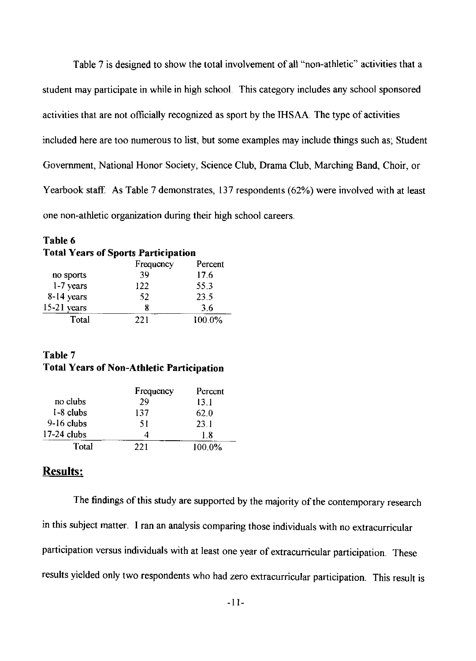Table 7 is designed to show the total involvement of all "non-athletic" activities that a student may participate in while in high school. This category includes any school sponsored activities that are not officially recognized as sport by the IHSAA. The type of activities included here are too numerous to list, but some examples may include things such as; Student Government, National Honor Society, Science Club, Drama Club, Marching Band, Choir, or Yearbook staff. As Table 7 demonstrates, 137 respondents (62%) were involved with at least one non-athletic organization during their high school careers.

## Table 6 Total Years of Sports Participation

|               | Frequency | Percent |
|---------------|-----------|---------|
| no sports     | -39       | 17.6    |
| 1-7 years     | 122       | 55.3    |
| 8-14 years    | -52       | 23.5    |
| $15-21$ years | 8         | 3.6     |
| Total         | 221       | 100.0%  |

## Table 7 Total Years of Non-Athletic Participation

|               | Frequency | Percent |
|---------------|-----------|---------|
| no clubs      | 29        | 13 1    |
| $1-8$ clubs   | 137       | 62.0    |
| $9-16$ clubs  | 51        | 23.1    |
| $17-24$ clubs |           | 18      |
| Total         | 221       | 100.0%  |

## Results:

The findings of this study are supported by the majority of the contemporary research in this subject matter. I ran an analysis comparing those individuals with no extracurricular participation versus individuals with at least one year of extracurricular participation. These results yielded only two respondents who had zero extracurricular participation. This result is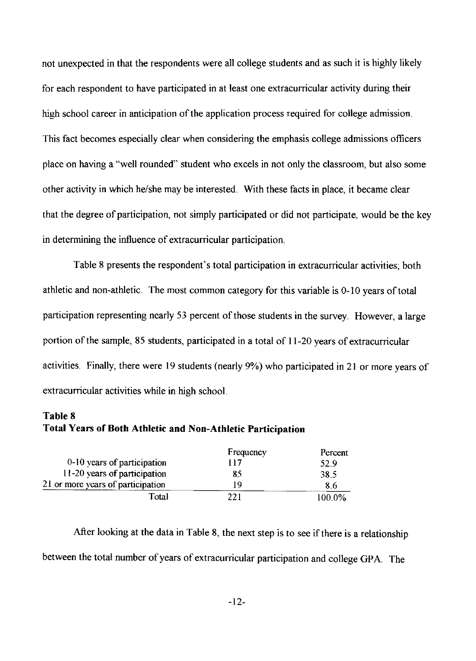not unexpected in that the respondents were all college students and as such it is highly likely for each respondent to have participated in at least one extracurricular activity during their high school career in anticipation of the application process required for college admission. This fact becomes especially clear when considering the emphasis college admissions officers place on having a "well rounded" student who excels in not only the classroom, but also some other activity in which he/she may be interested. With these facts in place, it became clear that the degree of participation, not simply participated or did not participate, would be the key in determining the influence of extracurricular participation.

Table 8 presents the respondent's total participation in extracurricular activities; both athletic and non-athletic. The most common category for this variable is 0-10 years of total participation representing nearly 53 percent of those students in the survey. However, a large portion of the sample, 85 students, participated in a total of 11-20 years of extracurricular activities. Finally, there were 19 students (nearly 9%) who participated in 21 or more years of extracurricular activities while in high school.

#### **Table 8**

#### **Total Years of Both Athletic and Non-Athletic Participation**

|                                   | Frequency | Percent |
|-----------------------------------|-----------|---------|
| 0-10 years of participation       | 117       | 52.9    |
| 11-20 years of participation      | 85        | 38.5    |
| 21 or more years of participation | 19        | 86      |
| Total                             | 221       | 100.0%  |

After looking at the data in Table 8, the next step is to see if there is a relationship between the total number of years of extracurricular participation and college GP A. The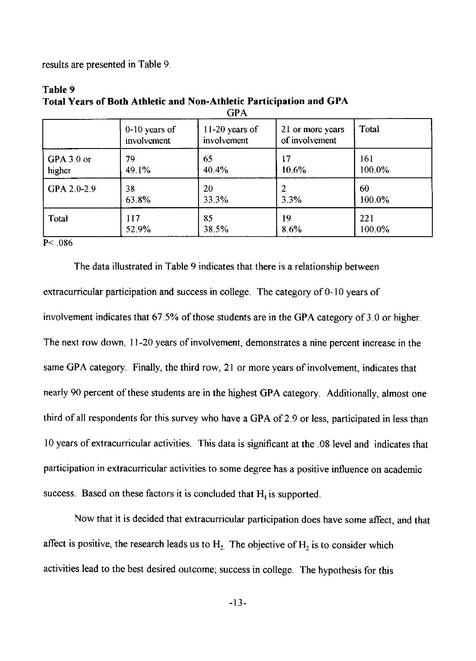results are presented in Table 9.

|             | $0-10$ years of<br>involvement | $11-20$ years of<br>involvement | 21 or more years<br>of involvement | Total  |
|-------------|--------------------------------|---------------------------------|------------------------------------|--------|
| GPA 3.0 or  | 79                             | 65                              | 17                                 | 161    |
| higher      | 49.1%                          | 40.4%                           | 10.6%                              | 100.0% |
| GPA 2.0-2.9 | 38                             | 20                              | 2                                  | 60     |
|             | 63.8%                          | 33.3%                           | 3.3%                               | 100.0% |
| Total       | 117                            | 85                              | 19                                 | 221    |
|             | 52.9%                          | 38.5%                           | 8.6%                               | 100.0% |

#### Table 9 **Total** Years of Both **Athletic and Non-Athletic Participation and GPA**   $\overline{C}$

 $P < 086$ 

The data illustrated in Table 9 indicates that there is a relationship between extracurricular participation and success in college. The category of 0-10 years of involvement indicates that 67.5% of those students are in the GPA category of 3.0 or higher. The next row down, 11-20 years of involvement, demonstrates a nine percent increase in the same GPA category. Finally, the third row, 21 or more years of involvement, indicates that nearly 90 percent of these students are in the highest GPA category. Additionally, almost one third of all respondents for this survey who have a GPA of 2.9 or less, participated in less than 10 years of extracurricular activities. This data is significant at the. 08 level and indicates that participation in extracurricular activities to some degree has a positive influence on academic success. Based on these factors it is concluded that  $H<sub>1</sub>$  is supported.

Now that it is decided that extracurricular participation does have some affect, and that affect is positive, the research leads us to  $H_2$ . The objective of  $H_2$  is to consider which activities lead to the best desired outcome; success in college. The hypothesis for this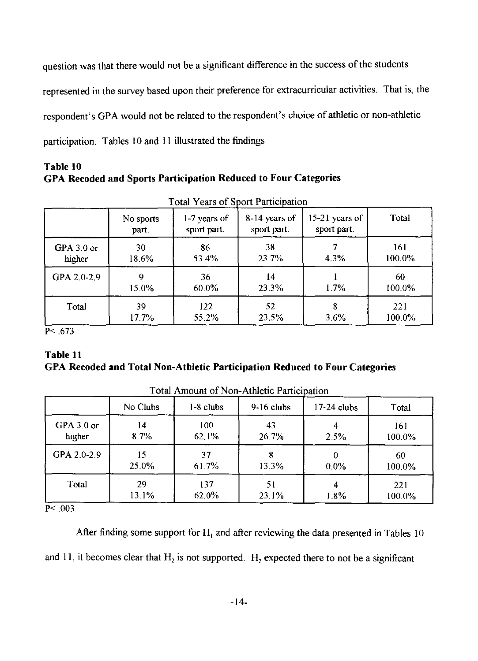question was that there would not be a significant difference in the success of the students represented in the survey based upon their preference for extracurricular activities. That is, the respondent's GPA would not be related to the respondent's choice of athletic or non-athletic participation. Tables 10 and II illustrated the findings.

Table 10 GPA Recoded and Sports Participation Reduced to Four Categories

|              | No sports<br>part. | $1-7$ years of<br>sport part. | 8-14 years of<br>sport part. | 15-21 years of<br>sport part. | Total        |
|--------------|--------------------|-------------------------------|------------------------------|-------------------------------|--------------|
| GPA $3.0$ or | 30                 | 86                            | 38                           | 4.3%                          | 161          |
| higher       | 18.6%              | 53.4%                         | 23.7%                        |                               | 100.0%       |
| GPA 2.0-2.9  | 9<br>15.0%         | 36<br>60.0%                   | 14<br>23.3%                  | 1.7%                          | 60<br>100.0% |
| Total        | 39                 | 122                           | 52                           | 8                             | 221          |
|              | 17.7%              | 55.2%                         | 23.5%                        | 3.6%                          | 100.0%       |

Total Voors of Sport Darticipation

 $P < .673$ 

### Table II GPA Recoded and Total Non-Athletic Participation Reduced to Four Categories

|                      | No Clubs    | $1-8$ clubs  | 9-16 clubs  | $17-24$ clubs | Total         |
|----------------------|-------------|--------------|-------------|---------------|---------------|
| GPA 3.0 or<br>higher | 14<br>8.7%  | 100<br>62.1% | 43<br>26.7% | 2.5%          | 161<br>100.0% |
| GPA 2.0-2.9          | 15<br>25.0% | 37<br>61.7%  | 13.3%       | $0.0\%$       | 60<br>100.0%  |
| Total                | 29<br>13.1% | 137<br>62.0% | 51<br>23.1% | 1.8%          | 221<br>100.0% |

Total Amount of Non-Athletic Particination

P< .003

After finding some support for  $H_1$  and after reviewing the data presented in Tables 10 and 11, it becomes clear that  $H_2$  is not supported.  $H_2$  expected there to not be a significant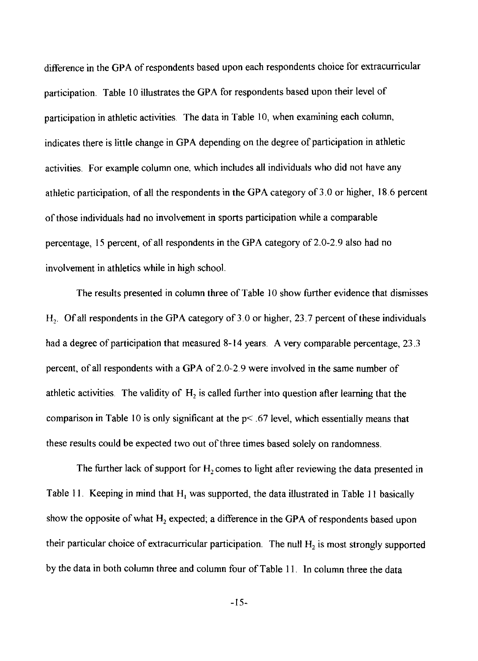difference in the GPA of respondents based upon each respondents choice for extracurricular participation. Table 10 illustrates the GPA for respondents based upon their level of participation in athletic activities. The data in Table 10, when examining each column, indicates there is little change in GPA depending on the degree of participation in athletic activities. For example column one, which includes all individuals who did not have any athletic participation, of all the respondents in the GPA category of3.0 or higher, 18.6 percent of those individuals had no involvement in sports participation while a comparable percentage, 15 percent, of all respondents in the GPA category of 2.0-2.9 also had no involvement in athletics while in high school.

The results presented in column three of Table 10 show further evidence that dismisses H<sub>2</sub>. Of all respondents in the GPA category of 3.0 or higher, 23.7 percent of these individuals had a degree of participation that measured 8-14 years. A very comparable percentage, 23.3 percent, of all respondents with a GPA of 2.0-2.9 were involved in the same number of athletic activities. The validity of  $H_2$  is called further into question after learning that the comparison in Table 10 is only significant at the  $p<.67$  level, which essentially means that these results could be expected two out of three times based solely on randomness.

The further lack of support for H<sub>2</sub> comes to light after reviewing the data presented in Table 11. Keeping in mind that  $H_1$  was supported, the data illustrated in Table 11 basically show the opposite of what  $H_2$  expected; a difference in the GPA of respondents based upon their particular choice of extracurricular participation. The null  $H_2$  is most strongly supported by the data in both column three and column four of Table 11. **In** column three the data

-15-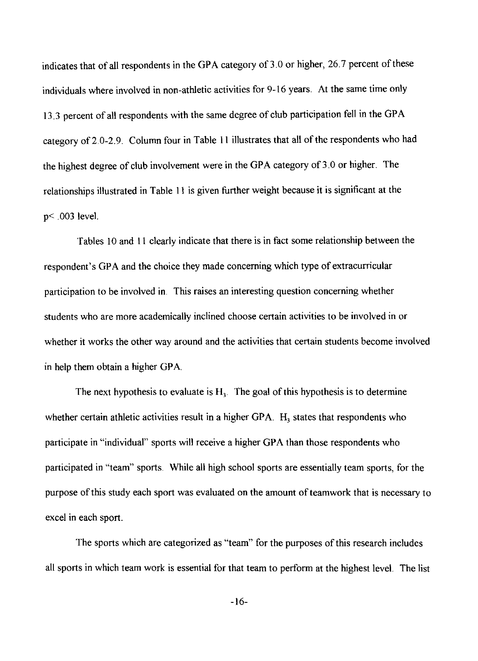indicates that of all respondents in the GPA category of 3.0 or higher, 26.7 percent of these individuals where involved in non-athletic activities for 9-16 years. At the same time only 13.3 percent of all respondents with the same degree of club participation fell in the GPA category of 2.0-2.9. Column four in Table 11 illustrates that all of the respondents who had the highest degree of club involvement were in the GPA category of  $3.0$  or higher. The relationships illustrated in Table 11 is given further weight because it is significant at the p< .003 level.

Tables 10 and 11 clearly indicate that there is in fact some relationship between the respondent's GPA and the choice they made concerning which type of extracurricular participation to be involved in. This raises an interesting question concerning whether students who are more academically inclined choose certain activities to be involved in or whether it works the other way around and the activities that certain students become involved in help them obtain a higher GPA.

The next hypothesis to evaluate is  $H<sub>3</sub>$ . The goal of this hypothesis is to determine whether certain athletic activities result in a higher GPA.  $H_3$  states that respondents who participate in "individual" sports will receive a higher GPA than those respondents who participated in "team" sports. While all high school sports are essentially team sports, for the purpose of this study each sport was evaluated on the amount of teamwork that is necessary to excel in each sport.

The sports which are categorized as "team" for the purposes of this research includes aU sports in which team work is essential for that team to perform at the highest level. The list

-16-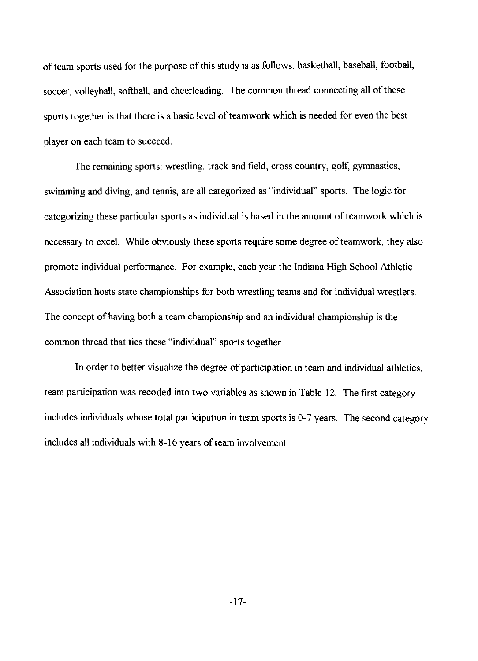of team sports used for the purpose of this study is as follows: basketball, baseball, football, soccer, volleyball, softball, and cheerleading. The common thread connecting all of these sports together is that there is a basic level of teamwork which is needed for even the best player on each team to succeed.

The remaining sports: wrestling, track and field, cross country, golf, gymnastics, swimming and diving, and tennis, are all categorized as "individual" sports. The logic for categorizing these particular sports as individual is based in the amount of teamwork which is necessary to excel. While obviously these sports require some degree of teamwork, they also promote individual performance. For example, each year the Indiana High School Athletic Association hosts state championships for both wrestling teams and for individual wrestlers. The concept of having both a team championship and an individual championship is the common thread that ties these "individual" sports together.

In order to better visualize the degree of participation in team and individual athletics, team participation was recoded into two variables as shown in Table 12. The first category includes individuals whose total participation in team sports is 0-7 years. The second category includes all individuals with 8-16 years of team involvement.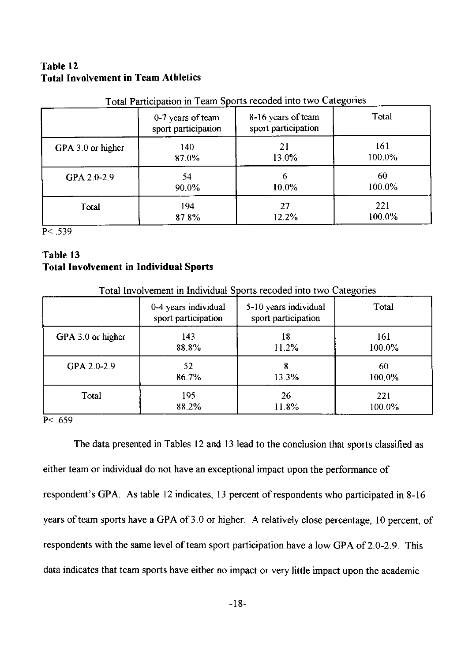## **Table 12 Total Involvement in Team Athletics**

|                   | 0-7 years of team<br>sport participation | 8-16 years of team<br>sport participation | Total  |
|-------------------|------------------------------------------|-------------------------------------------|--------|
| GPA 3.0 or higher | 140                                      | 21                                        | 161    |
|                   | 87.0%                                    | 13.0%                                     | 100.0% |
| GPA 2.0-2.9       | 54                                       | 6                                         | 60     |
|                   | 90.0%                                    | 10.0%                                     | 100.0% |
| Total             | 194                                      | 27                                        | 221    |
|                   | 87.8%                                    | 12.2%                                     | 100.0% |

#### Total Participation in Team Sports recoded into two Categories

P< 539

### **Table 13 Total Involvement in Individual Sports**

Total Involvement in Individual Sports recoded into two Categories

|                   | 0-4 years individual<br>sport participation | 5-10 years individual<br>sport participation | Total  |
|-------------------|---------------------------------------------|----------------------------------------------|--------|
| GPA 3.0 or higher | 143                                         | 18                                           | 161    |
|                   | 88.8%                                       | 11.2%                                        | 100.0% |
| GPA 2.0-2.9       | 52                                          | 8                                            | 60     |
|                   | 86.7%                                       | 13.3%                                        | 100.0% |
| Total             | 195                                         | 26                                           | 221    |
|                   | 88.2%                                       | 11.8%                                        | 100.0% |

 $P < 0.659$ 

The data presented in Tables 12 and 13 lead to the conclusion that sports classified as either team or individual do not have an exceptional impact upon the performance of respondent's GPA. As table 12 indicates, 13 percent of respondents who participated in 8-16 years of team sports have a GPA of 3.0 or higher. A relatively close percentage, 10 percent, of respondents with the same level of team sport participation have a low GPA of 2.0-2.9. This data indicates that team sports have either no impact or very little impact upon the academic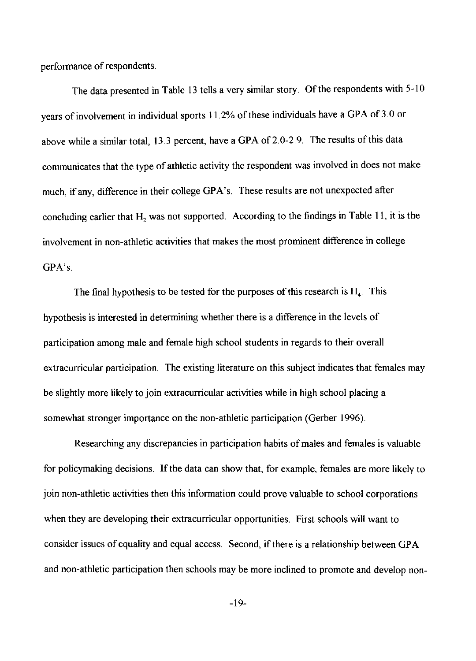perfonnance of respondents.

The data presented in Table 13 tells a very similar story. Of the respondents with 5-10 years of involvement in individual sports 11.2% of these individuals have a GPA of 3.0 or above while a similar total, 13.3 percent, have a GPA of 2.0-2.9. The results of this data communicates that the type of athletic activity the respondent was involved in does not make much, if any, difference in their college GPA's. These results are not unexpected after concluding earlier that  $H_2$  was not supported. According to the findings in Table 11, it is the involvement in non-athletic activities that makes the most prominent difference in college GPA's.

The final hypothesis to be tested for the purposes of this research is  $H_4$ . This hypothesis is interested in detennining whether there is a difference in the levels of participation among male and female high school students in regards to their overall extracurricular participation. The existing literature on this subject indicates that females may be slightly more likely to join extracurricular activities while in high school placing a somewhat stronger importance on the non-athletic participation (Gerber 1996).

Researching any discrepancies in participation habits of males and females is valuable for policymaking decisions. If the data can show that, for example, females are more likely to join non-athletic activities then this infonnation could prove valuable to school corporations when they are developing their extracurricular opportunities. First schools will want to consider issues of equality and equal access. Second, if there is a relationship between GPA and non-athletic participation then schools may be more inclined to promote and develop non-

-19-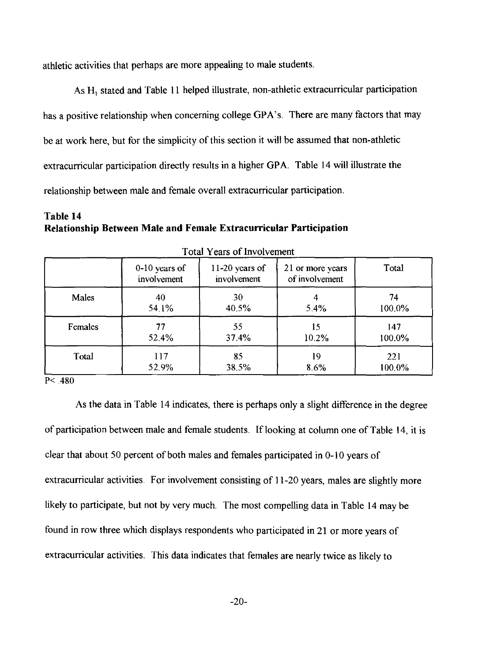athletic activities that perhaps are more appealing to male students.

As H<sub>1</sub> stated and Table 11 helped illustrate, non-athletic extracurricular participation has a positive relationship when concerning college GPA's. There are many factors that may be at work here, but for the simplicity of this section it will be assumed that non-athletic extracurricular participation directly results in a higher GPA. Table 14 will illustrate the relationship between male and female overall extracurricular participation.

### **Table 14 Relationship Between Male and Female Extracnrricular Participation**

|                | $0-10$ years of<br>involvement | $11-20$ years of<br>involvement | 21 or more years<br>of involvement | Total        |
|----------------|--------------------------------|---------------------------------|------------------------------------|--------------|
| Males          | 40<br>54.1%                    | 30<br>40.5%                     | 5.4%                               | 74<br>100.0% |
| <b>Females</b> | 77                             | 55                              | 15                                 | 147          |
|                | 52.4%                          | 37.4%                           | 10.2%                              | 100.0%       |
| Total          | 117                            | 85                              | 19                                 | 221          |
|                | 52.9%                          | 38.5%                           | 8.6%                               | 100.0%       |

|  |  |  | <b>Total Years of Involvement</b> |
|--|--|--|-----------------------------------|
|  |  |  |                                   |

P< .480

As the data in Table 14 indicates, there is perhaps only a slight difference in the degree of participation between male and female students. Iflooking at column one of Table 14, it is clear that about 50 percent of both males and females participated in 0-10 years of extracurricular activities. For involvement consisting of 11-20 years, males are slightly more likely to participate, but not by very much. The most compelling data in Table 14 may be found in row three which displays respondents who participated in 21 or more years of extracurricular activities. This data indicates that females are nearly twice as likely to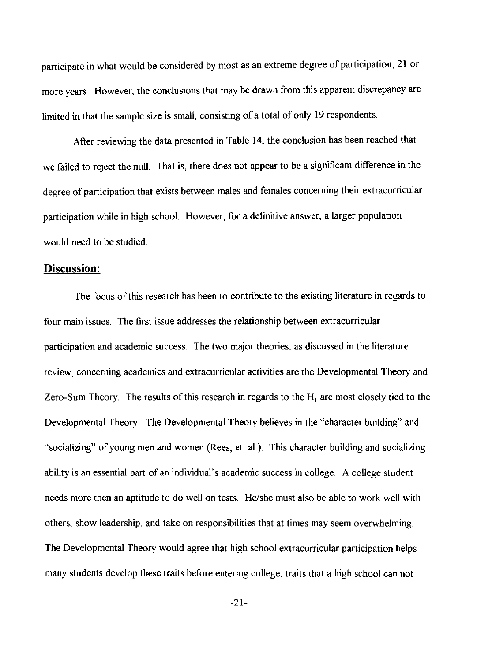participate in what would be considered by most as an extreme degree of participation; 21 or more years. However, the conclusions that may be drawn from this apparent discrepancy are limited in that the sample size is small, consisting of a total of only 19 respondents.

After reviewing the data presented in Table 14, the conclusion has been reached that we failed to reject the null. That is, there does not appear to be a significant difference in the degree of participation that exists between males and females concerning their extracurricular participation while in high school. However, for a definitive answer, a larger population would need to be studied.

#### **Discussion:**

The focus of this research has been to contribute to the existing literature in regards to four main issues. The first issue addresses the relationship between extracurricular participation and academic success. The two major theories, as discussed in the literature review, concerning academics and extracurricular activities are the Developmental Theory and Zero-Sum Theory. The results of this research in regards to the  $H<sub>1</sub>$  are most closely tied to the Developmental Theory. The Developmental Theory believes in the "character building" and "socializing" of young men and women (Rees, et. al.). This character building and socializing ability is an essential part of an individual's academic success in college. A college student needs more then an aptitude to do well on tests. He/she must also be able to work well with others, show leadership, and take on responsibilities that at times may seem overwhelming. The Developmental Theory would agree that high school extracurricular participation helps many students develop these traits before entering college; traits that a high school can not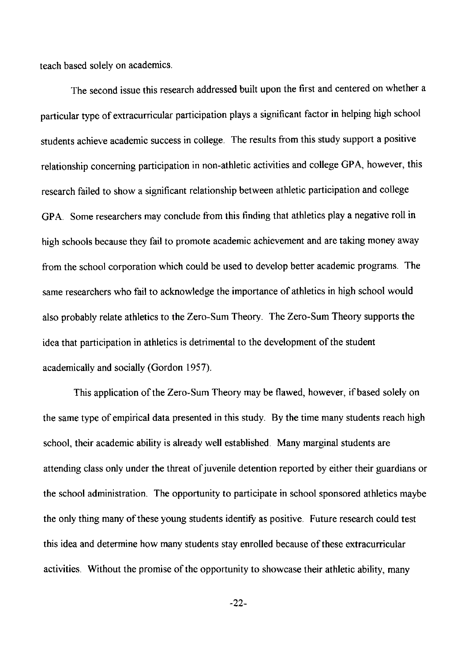teach based solely on academics.

The second issue this research addressed built upon the first and centered on whether a particular type of extracurricular participation plays a significant factor in helping high school students achieve academic success in college. The results from this study support a positive relationship concerning participation in non-athletic activities and college GPA, however, this research failed to show a significant relationship between athletic participation and college GPA. Some researchers may conclude from this finding that athletics play a negative roll in high schools because they fail to promote academic achievement and are taking money away from the school corporation which could be used to develop better academic programs. The same researchers who fail to acknowledge the importance of athletics in high school would also probably relate athletics to the Zero-Sum Theory. The Zero-Sum Theory supports the idea that participation in athletics is detrimental to the development of the student academically and socially (Gordon 1957).

This application of the Zero-Sum Theory may be flawed, however, if based solely on the same type of empirical data presented in this study. By the time many students reach high school, their academic ability is already well established. Many marginal students are attending class only under the threat of juvenile detention reported by either their guardians or the school administration. The opportunity to participate in school sponsored athletics maybe the only thing many of these young students identity as positive. Future research could test this idea and determine how many students stay enrolled because of these extracurricular activities. Without the promise of the opportunity to showcase their athletic ability, many

-22-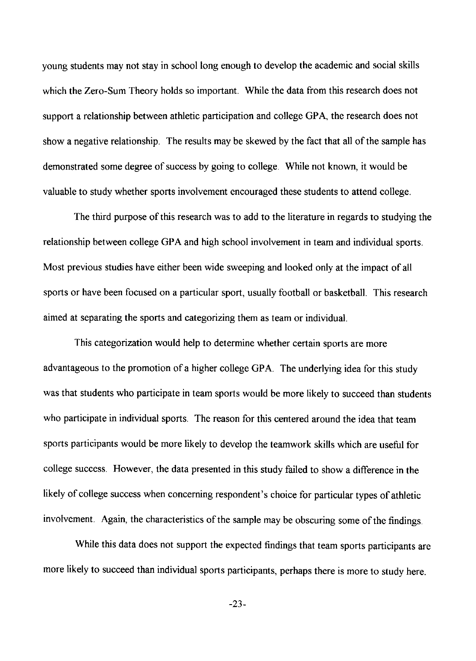young students may not stay in school long enough to develop the academic and social skills which the Zero-Sum Theory holds so important. While the data from this research does not support a relationship between athletic participation and college GPA, the research does not show a negative relationship. The results may be skewed by the fact that all of the sample has demonstrated some degree of success by going to college. While not known, it would be valuable to study whether sports involvement encouraged these students to attend college.

The third purpose of this research was to add to the literature in regards to studying the relationship between college GPA and high school involvement in team and individual sports. Most previous studies have either been wide sweeping and looked only at the impact of all sports or have been focused on a particular sport, usually football or basketball. This research aimed at separating the sports and categorizing them as team or individual.

This categorization would help to determine whether certain sports are more advantageous to the promotion of a higher college GPA. The underlying idea for this study was that students who participate in team sports would be more likely to succeed than students who participate in individual sports. The reason for this centered around the idea that team sports participants would be more likely to develop the teamwork skills which are useful for college success. However, the data presented in this study failed to show a difference in the likely of college success when concerning respondent's choice for particular types of athletic involvement. Again, the characteristics of the sample may be obscuring some of the findings.

While this data does not support the expected findings that team sports participants are more likely to succeed than individual sports participants, perhaps there is more to study here.

-23-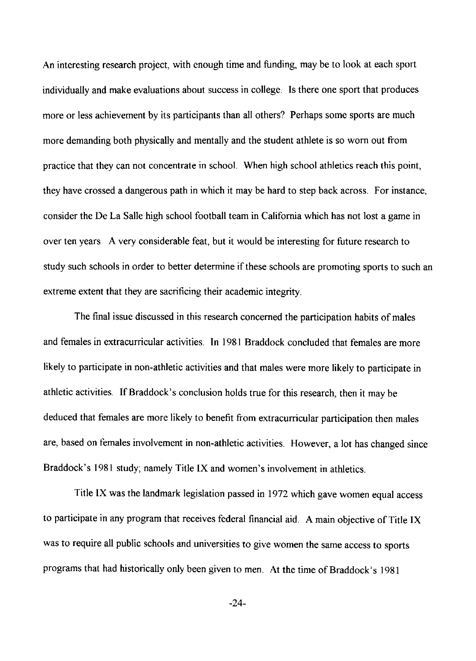An interesting research project, with enough time and funding, may be to look at each sport individually and make evaluations about success in college. Is there one sport that produces more or less achievement by its participants than all others? Perhaps some sports are much more demanding both physically and mentally and the student athlete is so worn out from practice that they can not concentrate in school. When high school athletics reach this point, they have crossed a dangerous path in which it may be hard to step back across. For instance, consider the De La Salle high school football team in California which has not lost a game in over ten years. A very considerable feat, but it would be interesting for future research to study such schools in order to better determine if these schools are promoting sports to such an extreme extent that they are sacrificing their academic integrity.

The final issue discussed in this research concerned the participation habits of males and females in extracurricular activities. In 1981 Braddock concluded that females are more likely to participate in non-athletic activities and that males were more likely to participate in athletic activities. If Braddock's conclusion holds true for this research, then it may be deduced that females are more likely to benefit from extracurricular participation then males are, based on females involvement in non-athletic activities. However, a lot has changed since Braddock's 1981 study; namely Title IX and women's involvement in athletics.

Title IX was the landmark legislation passed in 1972 which gave women equal access to participate in any program that receives federal financial aid. A main objective of Title IX was to require all public schools and universities to give women the same access to sports programs that had historically only been given to men. At the time of Braddock's 1981

-24-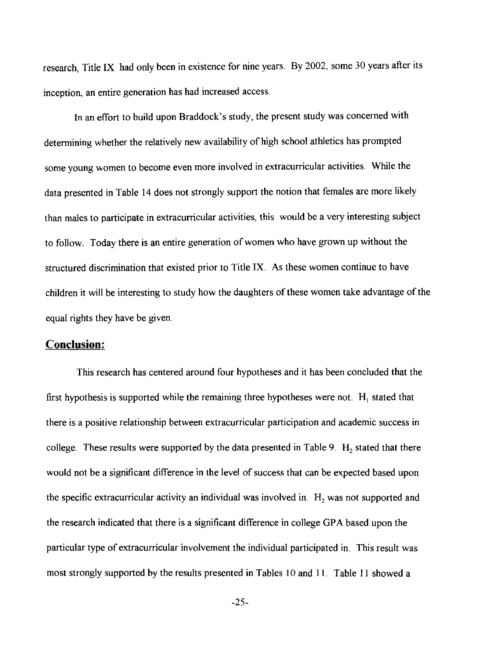research, Title IX had only been in existence for nine years. By 2002, some 30 years after its inception, an entire generation has had increased access.

In an effort to build upon Braddock's study, the present study was concerned with determining whether the relatively new availability of high school athletics has prompted some young women to become even more involved in extracurricular activities. While the data presented in Table 14 does not strongly support the notion that females are more likely than males to participate in extracurricular activities, this would be a very interesting subject to follow. Today there is an entire generation of women who have grown up without the structured discrimination that existed prior to Title IX. As these women continue to have children it will be interesting to study how the daughters of these women take advantage of the equal rights they have be given.

### **Conclusion:**

This research has centered around four hypotheses and it has been concluded that the first hypothesis is supported while the remaining three hypotheses were not.  $H<sub>1</sub>$  stated that there is a positive relationship between extracurricular participation and academic success in college. These results were supported by the data presented in Table 9.  $H_2$  stated that there would not be a significant difference in the level of success that can be expected based upon the specific extracurricular activity an individual was involved in.  $H_2$  was not supported and the research indicated that there is a significant difference in college GPA based upon the particular type of extracurricular involvement the individual participated in. This result was most strongly supported by the results presented in Tables 10 and 11. Table 11 showed a

-25-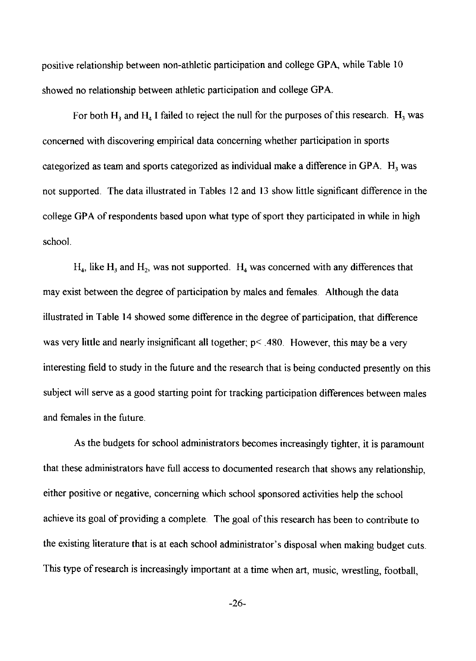positive relationship between non-athletic participation and college GPA, while Table 10 showed no relationship between athletic participation and college GPA.

For both  $H_3$  and  $H_4$  I failed to reject the null for the purposes of this research. H<sub>3</sub> was concerned with discovering empirical data concerning whether participation in sports categorized as team and sports categorized as individual make a difference in GPA. H<sub>3</sub> was not supported. The data illustrated in Tables 12 and \3 show little significant difference in the college GP A of respondents based upon what type of sport they participated in while in high school.

 $H_4$ , like  $H_3$  and  $H_2$ , was not supported.  $H_4$  was concerned with any differences that may exist between the degree of participation by males and females. Although the data illustrated in Table 14 showed some difference in the degree of participation, that difference was very little and nearly insignificant all together;  $p$  < .480. However, this may be a very interesting field to study in the future and the research that is being conducted presently on this subject will serve as a good starting point for tracking participation differences between males and females in the future.

As the budgets for school administrators becomes increasingly tighter, it is paramount that these administrators have full access to documented research that shows any relationship, either positive or negative, concerning which school sponsored activities help the school achieve its goal of providing a complete. The goal of this research has been to contribute to the existing literature that is at each school administrator's disposal when making budget cuts. This type of research is increasingly important at a time when art, music, wrestling, football,

-26-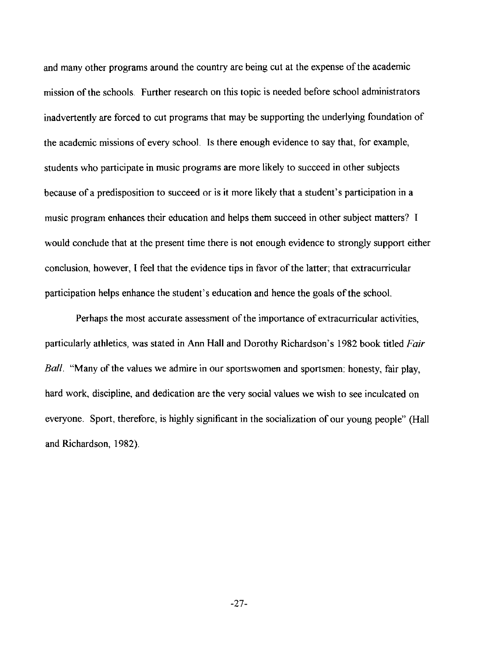and many other programs around the country are being cut at the expense of the academic mission of the schools. Further research on this topic is needed before school administrators inadvertently are forced to cut programs that may be supporting the underlying foundation of the academic missions of every schooL Is there enough evidence to say that, for example, students who participate in music programs are more likely to succeed in other subjects because of a predisposition to succeed or is it more likely that a student's participation in a music program enhances their education and helps them succeed in other subject matters? I would conclude that at the present time there is not enough evidence to strongly support either conclusion, however, I feel that the evidence tips in favor of the latter; that extracurricular participation helps enhance the student's education and hence the goals of the schooL

Perhaps the most accurate assessment of the importance of extracunicular activities, particularly athletics, was stated in Ann Hall and Dorothy Richardson's 1982 book titled *Fair Ball.* "Many of the values we admire in our sportswomen and sportsmen: honesty, fair play, hard work, discipline, and dedication are the very social values we wish to see inculcated on everyone. Sport, therefore, is highly significant in the socialization of our young people" (Hall and Richardson, 1982).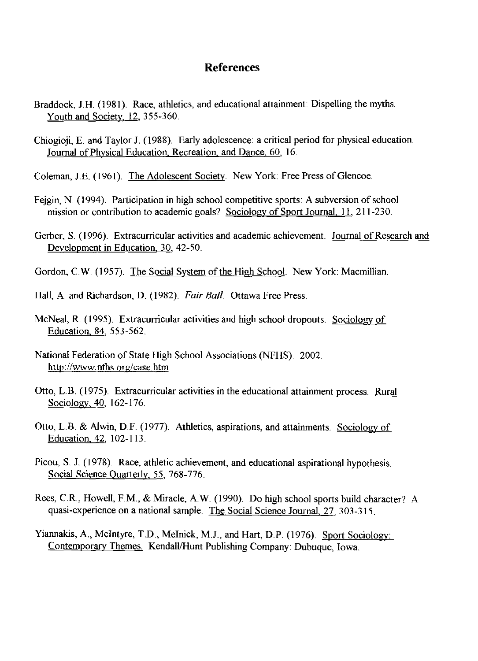## **References**

- Braddock, J.H. (1981). Race, athletics, and educational attainment: Dispelling the myths. Youth and Society, 12, 355-360.
- Chiogioji, E. and Taylor I. (1988). Early adolescence a critical period for physical education. Journal of Physical Education, Recreation, and Dance, 60, 16.
- Coleman, I.E. (1961). The Adolescent Society. New York: Free Press of Glencoe.
- Fejgin, N. (1994). Participation in high school competitive sports: A subversion of school mission or contribution to academic goals? Sociology of Sport Journal, 11, 211-230.
- Gerber, S. (1996). Extracurricular activities and academic achievement. Journal of Research and Development in Education, 30, 42-50.

Gordon, CW. (1957). The Social System of the High School. New York: Macmillian.

- Hall, A and Richardson, D. (1982). *Fair Ball.* Ottawa Free Press.
- McNeal, R. (1995). Extracurricular activities and high school dropouts. Sociology of Education, 84, 553-562.
- National Federation of State High School Associations (NFHS). 2002. http://W\vw.nths.org/case.htm
- Otto, L.B. (1975). Extracurricular activities in the educational attainment process. Rural Sociology, 40, 162-176.
- Otto, L.B. & Alwin, D.F. (1977). Athletics, aspirations, and attainments. Sociology of Education, 42, 102-113.
- Picou, S. I. (1978). Race, athletic achievement, and educational aspirational hypothesis. Social Science Quarterly, 55, 768-776.
- Rees, CR., Howell, F.M, & Miracle, AW. (1990). Do high school sports build character? A quasi-experience on a national sample. The Social Science Journal, 27, 303-315.
- Yiannakis, A., McIntyre, T.D., MeInick, M.J., and Hart, D.P. (1976). Sport Sociology: Contemporary Themes. Kendall/Hunt Publishing Company: Dubuque, Iowa.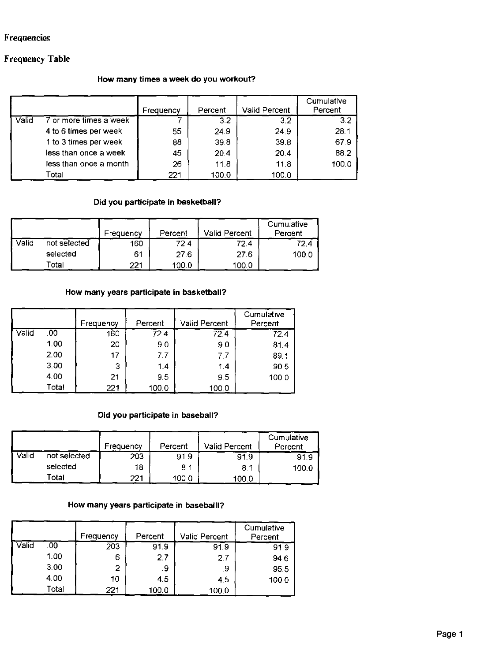## Frequencies

### **Frequency Table**

### **How many times a week do you workout?**

|       |                        | Frequency | Percent | <b>Valid Percent</b> | Cumulative<br>Percent |
|-------|------------------------|-----------|---------|----------------------|-----------------------|
| Valid | 7 or more times a week |           | 3.2     | 3.2                  | 3.2                   |
|       | 4 to 6 times per week  | 55        | 24.9    | 24.9                 | 28.1                  |
|       | 1 to 3 times per week  | 88        | 39.8    | 39.8                 | 67.9                  |
|       | less than once a week  | 45        | 20.4    | 20.4                 | 88.2                  |
|       | less than once a month | 26        | 11.8    | 11.8                 | 100.0                 |
|       | Total                  | 221       | 100.0   | 100.0                |                       |

#### **Did you participate in basketball?**

|       |              | Frequency | Percent | Valid Percent | Cumulative<br>Percent |
|-------|--------------|-----------|---------|---------------|-----------------------|
| Valid | not selected | 160       | 72.4    | 72.4          | 72.4                  |
|       | selected     | 61        | 27.6    | 27.6          | 100.0                 |
|       | ™otal        | 221       | 100.0   | 100.0         |                       |

#### **How many years participate in basketball?**

|       |       | Frequency | Percent | <b>Valid Percent</b> | Cumulative<br>Percent |
|-------|-------|-----------|---------|----------------------|-----------------------|
| Valid | .ÕO   | 160       | 72.4    | 72.4                 | 72.4                  |
|       | 1.00  | 20        | 9.0     | 9.0                  | 81.4                  |
|       | 2.00  | 17        | 7.7     | 7.7                  | 89 1                  |
|       | 3.00  | 3         | 1.4     | 1.4                  | 90.5                  |
|       | 4.00  | 21        | 9.5     | 9.5                  | 100.0                 |
|       | Total | 221       | 100.0   | 100.0                |                       |

### **Did you participate in baseball?**

|       |              | Frequency | Percent | <b>Valid Percent</b> | Cumulative<br>Percent |
|-------|--------------|-----------|---------|----------------------|-----------------------|
| Valid | not selected | 203       | 91.9    | 91.9                 | 91.9                  |
|       | selected     | 18        | 8.1     | 8.1                  | 100.0                 |
|       | Total        | 221       | 100.0   | 100.0                |                       |

#### **How many years participate in baseballl?**

|       |       | Frequency | Percent | <b>Valid Percent</b> | Cumulative<br>Percent |
|-------|-------|-----------|---------|----------------------|-----------------------|
| Valid | 00    | 203       | 91.9    | 91.9                 | 91.9                  |
|       | 1.00  | 6         | 2.7     | 2.7                  | 946                   |
|       | 3.00  | 2         | .9      | .9                   | 95.5                  |
|       | 4.00  | 10        | 4.5     | 4.5                  | 100.0                 |
|       | Total | 221       | 100.0   | 100,0                |                       |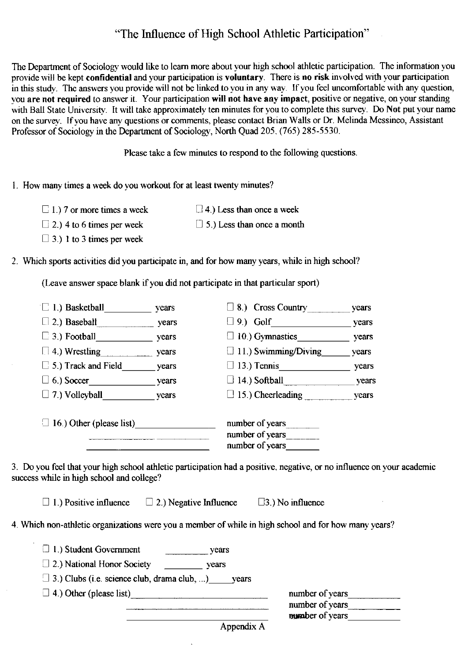# "The Influence of High School Athletic Participation"

The Department of Sociology would like to learn more about your high school athletic participation. The information you provide will be kept confidential and your participation is voluntary. There is no risk involved with your participation in this study. The answers you provide will not be linked to you in any way. If you feel uncomfortable with any question, you are not required to answer it. Your participation will not have any impact, positive or negative, on your standing with Ball State University. It will take approximately ten minutes for you to complete this survey. Do Not put your name on the survey. If you havc any questions or comments, pleasc contact Brian Walls or Dr. Melinda Mcssineo, Assistant Professor of Sociology in the Department of Sociology, North Quad 205. (765) 285-5530.

Please take a few minutes to respond to the following questions.

#### 1. How many times a week do you workout for at least twenty minutes?

- $\Box$  1.1.7 or more times a week
- $\Box$  4.) Less than once a week
- $\Box$  2.) 4 to 6 times per week  $\Box$  5.) Less than once a month
- $\Box$  3.) 1 to 3 times per week
- 2. Which sports activities did you participate in, and for how many years, while in high school?

(Leave answer space blank if you did not participate in that particular sport)

| $\Box$ 1.) Basketball           | vears | $\Box$ 8.) Cross Country                              | years |
|---------------------------------|-------|-------------------------------------------------------|-------|
| $\Box$ 2.) Baseball             | years | $\Box$ 9.) Golf                                       | years |
| $\Box$ 3.) Football             | years | $\Box$ 10.) Gymnastics                                | years |
| $\Box$ 4.) Wrestling            | vears | $\Box$ 11.) Swimming/Diving                           | years |
| $\Box$ 5.) Track and Field      | vears | $\Box$ 13.) Tennis                                    | vears |
| $\Box$ 6.) Soccer               | vears | $\Box$ 14.) Softball                                  | years |
| $\Box$ 7.) Volleyball           | years | $\Box$ 15.) Cheerleading                              | vears |
| $\Box$ 16.) Other (please list) |       | number of years<br>number of years<br>number of years |       |

3. Do you feel that your high school athletic participation had a positive. negative, or no influence on your academic success while in high school and college?

 $\Box$  1.) Positive influence  $\Box$  2.) Negative Influence  $\Box$  3.) No influence

4. Which non-athletic organizations were you a member of while in high school and for how many years?

| $\Box$ 1.) Student Government                      | vears |                         |
|----------------------------------------------------|-------|-------------------------|
| $\Box$ 2.) National Honor Society                  | vears |                         |
| $\Box$ 3.) Clubs (i.e. science club, drama club, ) | vears |                         |
| $\Box$ 4.) Other (please list)                     |       | number of years         |
|                                                    |       | number of years         |
|                                                    |       | <b>BURD</b> er of years |

#### Appendix A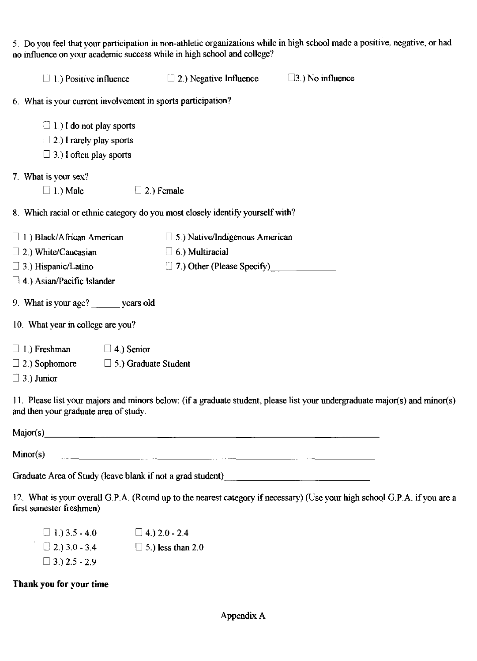| no influence on your academic success while in high school and college?        |                                                                                                                        | 5. Do you feel that your participation in non-athletic organizations while in high school made a positive, negative, or had |
|--------------------------------------------------------------------------------|------------------------------------------------------------------------------------------------------------------------|-----------------------------------------------------------------------------------------------------------------------------|
|                                                                                |                                                                                                                        |                                                                                                                             |
| $\Box$ 1.) Positive influence                                                  | $\Box$ 2.) Negative Influence                                                                                          | $\Box$ 3.) No influence                                                                                                     |
| 6. What is your current involvement in sports participation?                   |                                                                                                                        |                                                                                                                             |
| $\Box$ 1.) I do not play sports                                                |                                                                                                                        |                                                                                                                             |
| $\Box$ 2.) I rarely play sports                                                |                                                                                                                        |                                                                                                                             |
| $\Box$ 3.) I often play sports                                                 |                                                                                                                        |                                                                                                                             |
| 7. What is your sex?                                                           |                                                                                                                        |                                                                                                                             |
| $\Box$ 1.) Male<br>$\Box$ 2.) Female                                           |                                                                                                                        |                                                                                                                             |
|                                                                                |                                                                                                                        |                                                                                                                             |
| 8. Which racial or ethnic category do you most closely identify yourself with? |                                                                                                                        |                                                                                                                             |
| $\Box$ 1.) Black/African American                                              | $\Box$ 5.) Native/Indigenous American                                                                                  |                                                                                                                             |
| $\Box$ 2.) White/Caucasian                                                     | $\Box$ 6.) Multiracial                                                                                                 |                                                                                                                             |
| $\Box$ 3.) Hispanic/Latino                                                     | $\Box$ 7.) Other (Please Specify)                                                                                      |                                                                                                                             |
| $\Box$ 4.) Asian/Pacific Islander                                              |                                                                                                                        |                                                                                                                             |
| 9. What is your age? years old                                                 |                                                                                                                        |                                                                                                                             |
| 10. What year in college are you?                                              |                                                                                                                        |                                                                                                                             |
| $\Box$ 1.) Freshman<br>$\Box$ 4.) Senior                                       |                                                                                                                        |                                                                                                                             |
| $\Box$ 2.) Sophomore<br>$\Box$ 5.) Graduate Student                            |                                                                                                                        |                                                                                                                             |
| $\Box$ 3.) Junior                                                              |                                                                                                                        |                                                                                                                             |
| and then your graduate area of study.                                          |                                                                                                                        | 11. Please list your majors and minors below: (if a graduate student, please list your undergraduate major(s) and minor(s)  |
| Major(s)                                                                       | <u>, socialism control de la companya de la companya de la companya de la companya de la companya de la companya d</u> |                                                                                                                             |

Minor(s) \_\_\_\_\_\_\_\_\_\_\_\_\_\_\_\_\_\_\_\_\_\_\_\_\_\_\_\_\_ \_

Graduate Area of Study (leave blank if not a grad student)

12. What is your overall G.P.A. (Round up to the nearest category if necessary) (Usc your high school G.P.A. if you are a first semester freshmen)

 $\Box$  1.) 3.5 - 4.0  $\Box$  2.) 3.0 - 3.4  $\Box$  3.) 2.5 - 2.9  $\Box$  4.) 2.0 - 2.4  $\Box$  5.) less than 2.0

Thank you **for** your time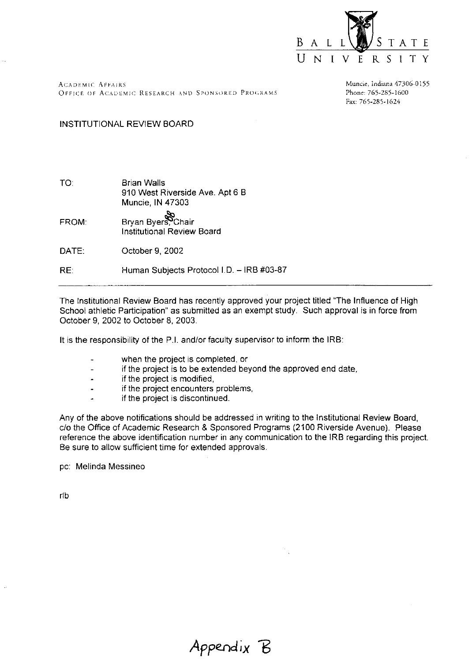

ACADEMIC AFFAIRS OFFICE OF ACADEMIC RESEARCH AND SPONSORED PROGRAMS Muncie, Indiana 47306-0155 Phone: 765-285-1600 Fax: 765-285-1624

#### INSTITUTIONAL REVIEW BOARD

TO FROM: DATE: RE Brian Walls 910 West Riverside Ave. Apt 6 B Muncie, IN 47303 Brvan Byers<sup>O</sup>Chair Institutional Review Board October 9, 2002 Human Subjects Protocol I.D. - IRB #03-87

The Institutional Review Board has recently approved your project titled "The Influence of High School athletic Participation" as submitted as an exempt study. Such approval is in force from October 9, 2002 to October 8, 2003.

It is the responsibility of the P.1. and/or faculty supervisor to inform the IRB:

- when the project is completed, or
- if the project is to be extended beyond the approved end date,
- if the project is modified,
- if the project encounters problems,
- if the project is discontinued.

Any of the above notifications should be addressed in writing to the Institutional Review Board, c/o the Office of Academic Research & Sponsored Programs (2100 Riverside Avenue). Please reference the above identification number in any communication to the IRB regarding this project. Be sure to allow sufficient time for extended approvals.

Appendix B

pc: Melinda Messineo

rib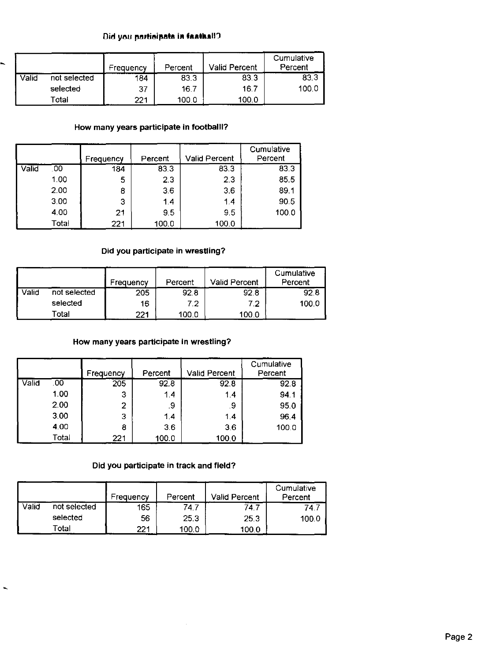#### Did you participate in faathal!?

|       |              | Frequency | Percent | <b>Valid Percent</b> | Cumulative<br>Percent |
|-------|--------------|-----------|---------|----------------------|-----------------------|
| Valid | not selected | 184       | 83.3    | 83.3                 | 83.3                  |
|       | selected     | 37        | 16.7    | 16.7                 | 100.0                 |
|       | ™otai        | 221       | 100.0   | 100.0                |                       |

## **How many years participate in footballl?**

|       |       | Frequency | Percent | <b>Valid Percent</b> | Cumulative<br>Percent |
|-------|-------|-----------|---------|----------------------|-----------------------|
| Valid | .00   | 184       | 83.3    | 83.3                 | 83.3                  |
|       | 1.00  | 5         | 2.3     | 2.3                  | 85.5                  |
|       | 2.00  | 8         | 3.6     | 3.6                  | 89.1                  |
|       | 3.00  | 3         | 1.4     | 1.4                  | 90.5                  |
|       | 4.00  | 21        | 9.5     | 9.5                  | 100.0                 |
|       | Total | 221       | 100.0   | 100.0                |                       |

### **Did you participate in wrestling?**

|       |              | Frequency | Percent | <b>Valid Percent</b> | Cumulative<br>Percent |
|-------|--------------|-----------|---------|----------------------|-----------------------|
| Valid | not selected | 205       | 92.8    | 92.8                 | 92.8                  |
|       | selected     | 16        | 7.2     | 7.2                  | 100.0                 |
|       | Total        | 221       | 100.0   | 100.0                |                       |

#### **How many years participate in wrestling?**

|       |       | Frequency | Percent | <b>Valid Percent</b> | Cumulative<br>Percent |
|-------|-------|-----------|---------|----------------------|-----------------------|
| Valid | .00   | 205       | 92.8    | 92.8                 | 92.8                  |
|       | 1.00  | 3         | 1.4     | 14                   | 94 1                  |
|       | 2.00  | 2         | .9      | .9                   | 95.0                  |
|       | 3.00  | 3         | 1.4     | 1.4                  | 964                   |
|       | 4.00  | 8         | 3.6     | 3.6                  | 100.0                 |
|       | Total | 221       | 100.0   | 100.0                |                       |

#### **Did you participate in track and field?**

|       |              | Frequency | Percent | Valid Percent | Cumulative<br>Percent |
|-------|--------------|-----------|---------|---------------|-----------------------|
| Valid | not selected | 165       | 74.7    | 74.7          |                       |
|       | selected     | 56        | 25.3    | 25.3          | 100.0                 |
|       | Total        | 221       | 100.0   | 100.0         |                       |

 $\blacksquare$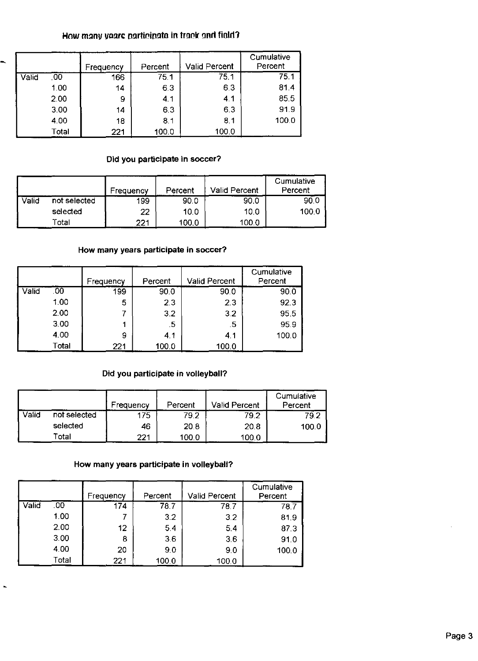#### How many years participate in track and field?

|       |       | Frequency | Percent | <b>Valid Percent</b> | Cumulative<br>Percent |
|-------|-------|-----------|---------|----------------------|-----------------------|
| Valid | .00   | 166       | 75.1    | 75.1                 | 75.1                  |
|       | 1.00  | 14        | 6.3     | 6.3                  | 81.4                  |
|       | 2.00  | 9         | 4.1     | 4.1                  | 855                   |
|       | 3.00  | 14        | 6.3     | 6.3                  | 91.9                  |
|       | 4.00  | 18        | 8.1     | 8.1                  | 100.0                 |
|       | Total | 221       | 100.0   | 100.0                |                       |

### **Did you participate in soccer?**

|       |              | Frequency | Percent | <b>Valid Percent</b> | Cumulative<br>Percent |
|-------|--------------|-----------|---------|----------------------|-----------------------|
| Valid | not selected | 199       | 90.0    | 90.0                 | 90.0                  |
|       | selected     | 22        | 10.0    | 10.0                 | 100.0                 |
|       | Total        | 221       | 100.0   | 100.0                |                       |

### **How many years participate in soccer?**

|       |              | Frequency | Percent | <b>Valid Percent</b> | Cumulative<br>Percent |
|-------|--------------|-----------|---------|----------------------|-----------------------|
| Valio | .00          | 199       | 90.0    | 90.0                 | 90.0                  |
|       | 1.00         | 5         | 2.3     | 2.3                  | 92.3                  |
|       | 2.00         |           | 3.2     | 3.2                  | 95.5                  |
|       | 3.00         |           | .5      | -5                   | 95.9                  |
|       | 4.00         | 9         | 4.1     | 4.1                  | 100.0                 |
|       | <b>Total</b> | 221       | 100.0   | 100.0                |                       |

### **Did you participate in volleyball?**

|       |                   | Frequency | Percent | Valid Percent | Cumulative<br>Percent |
|-------|-------------------|-----------|---------|---------------|-----------------------|
| Valid | not selected      | 175       | 79.2    | 79.2          | 79.2                  |
|       | selected          | 46        | 20.8    | 20.8          | 100.0                 |
|       | $^\mathsf{Total}$ | 221       | 100.0   | 100.0         |                       |

### **How many years participate in volleyball?**

|       |                  | Frequency | Percent | <b>Valid Percent</b> | Cumulative<br>Percent |
|-------|------------------|-----------|---------|----------------------|-----------------------|
| Valid | .00 <sub>1</sub> | 174       | 78.7    | 78.7                 | 78.7                  |
|       | 1.00             |           | 3.2     | 3.2                  | 81.9                  |
|       | 2.00             | 12        | 5.4     | 5,4                  | 87.3                  |
|       | 3.00             | 8         | 3.6     | 3.6                  | 91.0                  |
|       | 4.00             | 20        | 9.0     | 9.0                  | 100.0                 |
|       | Total            | 221       | 100.0   | 100.0                |                       |

 $\overline{\phantom{0}}$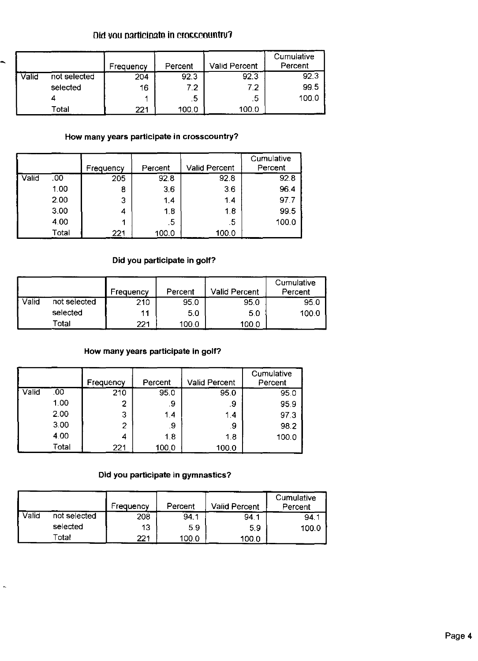#### **Did you participate in crosscountry?**

|       |              | Frequency | Percent | Valid Percent | Cumulative<br>Percent |
|-------|--------------|-----------|---------|---------------|-----------------------|
| Valid | not selected | 204       | 92.3    | 92.3          | 923                   |
|       | selected     | 16        | 7.2     | 7.2           | 99.5                  |
|       |              |           | .5      | .5            | 100.0                 |
|       | Total        | 221       | 100.0   | 100.0         |                       |

## **How many years participate in crosscountry?**

|       |       | Frequency | Percent | <b>Valid Percent</b> | Cumulative<br>Percent |
|-------|-------|-----------|---------|----------------------|-----------------------|
| Valid | .00   | 205       | 92.8    | 92.8                 | 92.8                  |
|       | 1.00  | 8         | 3.6     | 3.6                  | 96.4                  |
|       | 2.00  | 3         | 1.4     | 1.4                  | 977                   |
|       | 3.00  | 4         | 1.8     | 1.8                  | 99.5                  |
|       | 4.00  |           | .5      | .5                   | 100.0                 |
|       | Total | 221       | 100.0   | 100.0                |                       |

## **Did you participate in golf?**

|       |              | Frequency | Percent | <b>Valid Percent</b> | Cumulative<br>Percent |
|-------|--------------|-----------|---------|----------------------|-----------------------|
| Valid | not selected | 210       | 95.0    | 95.0                 | 95.0                  |
|       | selected     | 11        | 5.0     | 5.0                  | 100.0                 |
|       | Total        | 221       | 100.0   | 100.0                |                       |

### **How many years participate in golf?**

|       |       | Frequency | Percent | <b>Valid Percent</b> | Cumulative<br>Percent |
|-------|-------|-----------|---------|----------------------|-----------------------|
| Valid | .00   | 210       | 95.0    | 95.0                 | 95.0                  |
|       | 1.00  | 2         | .9      | .9                   | 95.9                  |
|       | 2.00  | 3         | 1.4     | 1.4                  | 97.3                  |
|       | 3.00  | 2         | .9      | .9                   | 98.2                  |
|       | 4.00  | 4         | 1.8     | 1.8                  | 100.0                 |
|       | Total | 221       | 100.0   | 100.0                |                       |

## **Did you participate in gymnastics?**

ĸ,

|       |              | Frequency | Percent | <b>Valid Percent</b> | Cumulative<br>Percent |
|-------|--------------|-----------|---------|----------------------|-----------------------|
| Valid | not selected | 208       | 94.1    | 94.1                 | 94.1                  |
|       | selected     | 13        | 5.9     | 5.9                  | 100.0                 |
|       | Total        | 221       | 100.0   | 100.0                |                       |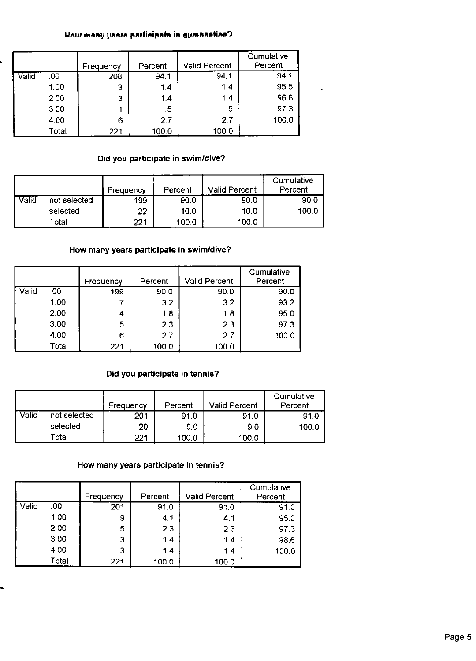#### How many years participate in gymnastias?

|       |       | Frequency | Percent | <b>Valid Percent</b> | Cumulative<br>Percent |
|-------|-------|-----------|---------|----------------------|-----------------------|
| Valid | .00   | 208       | 94.1    | 94.1                 | 94.1                  |
|       | 1.00  | 3         | 1.4     | 1,4                  | 95.5                  |
|       | 2.00  | 3         | 1.4     | 1.4                  | 96.8                  |
|       | 3.00  | 1         | .5      | .5                   | 97.3                  |
|       | 4.00  | 6         | 27      | 2.7                  | 100.0                 |
|       | Total | 221       | 100.0   | 100.0                |                       |

÷

## Did **you participate in** swim/dive?

|       |              | Frequency | Percent | <b>Valid Percent</b> | Cumulative<br>Percent |
|-------|--------------|-----------|---------|----------------------|-----------------------|
| Valid | not selected | 199       | 90.0    | 90.0                 | 90.0                  |
|       | selected     | 22        | 10.0    | 10.0                 | 100.0                 |
|       | Total        | 221       | 100.0   | 100.0                |                       |

### **How many years participate** in swim/dive?

|       |       | Frequency | Percent | <b>Valid Percent</b> | Cumulative<br>Percent |
|-------|-------|-----------|---------|----------------------|-----------------------|
| Valid | .00   | 199       | 90.0    | 90.0                 | 90.0                  |
|       | 1.00  |           | 3.2     | 3.2                  | 93.2                  |
|       | 2.00  | 4         | 1.8     | 1.8                  | 95.0                  |
|       | 3.00  | 5         | 2.3     | 2.3                  | 97.3                  |
|       | 4.00  | 6         | 27      | 2.7                  | 100.0                 |
|       | Total | 221       | 100.0   | 100.0                |                       |

### **Did you participate in tennis?**

|       |              | Frequency | Percent | <b>Valid Percent</b> | Cumulative<br>Percent |
|-------|--------------|-----------|---------|----------------------|-----------------------|
| Valid | not selected | 201       | 91.0    | 91.0                 | 91.0                  |
|       | selected     | 20        | 9.0     | 9.0                  | 100.0                 |
|       | Total        | 221       | 100.0   | 100.0                |                       |

## **How many years participate in tennis?**

|       |       | Frequency | Percent | <b>Valid Percent</b> | Cumulative<br>Percent |
|-------|-------|-----------|---------|----------------------|-----------------------|
| Valid | .00.  | 201       | 91.0    | 91.0                 | 91.0                  |
|       | 1.00  | 9         | 41      | 4.1                  | 95.0                  |
|       | 2.00  | 5         | 2.3     | 2.3                  | 97.3                  |
|       | 3.00  | 3         | 1.4     | 1.4                  | 98.6                  |
|       | 4.00  | 3         | 1.4     | 14                   | 100.0                 |
|       | Total | 221       | 100.0   | 100.0                |                       |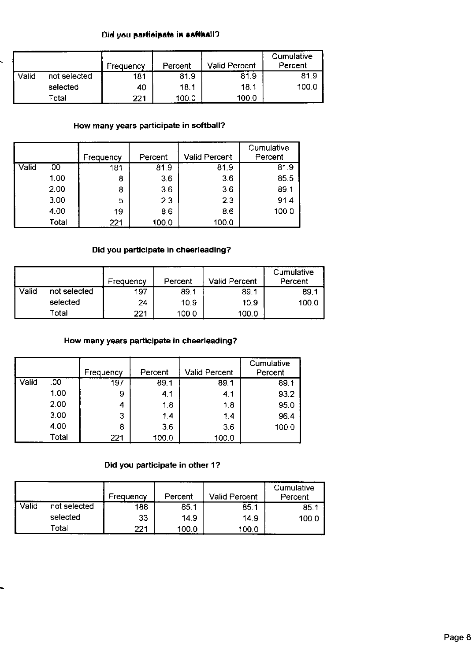#### Did you participate in setthall?

|       |              | Frequency | Percent | Valid Percent | Cumulative<br>Percent |
|-------|--------------|-----------|---------|---------------|-----------------------|
| Valid | not selected | 181       | 819     | 81.9          | 81.9                  |
|       | selected     | 40        | 18.1    | 18.1          | 100.0                 |
|       | Total        | 221       | 100.0   | 100.0         |                       |

## **How many years participate in softball?**

|       |       | Frequency | Percent | <b>Valid Percent</b> | Cumulative<br>Percent |
|-------|-------|-----------|---------|----------------------|-----------------------|
| Valid | .00   | 181       | 81.9    | 81.9                 | 81.9                  |
|       | 1.00  | 8         | 3.6     | 3.6                  | 85.5                  |
|       | 2.00  | 8         | 3.6     | 3.6                  | 89.1                  |
|       | 3.00  | 5         | 23      | 2.3                  | 91.4                  |
|       | 4.00  | 19        | 8.6     | 8.6                  | 100.0                 |
|       | Total | 221       | 100.0   | 100.0                |                       |

#### **Did you participate in cheerleading?**

|       |              | Frequency | Percent | Valid Percent | Cumulative<br>Percent |
|-------|--------------|-----------|---------|---------------|-----------------------|
| Valid | not selected | 197       | 89.1    | 89.1          | 89.1                  |
|       | selected     | 24        | 10.9    | 10.9          | 100.0                 |
|       | Total        | 221       | 100.0   | 100.0         |                       |

#### **How many years participate in cheerleading?**

|       |       | Frequency | Percent | <b>Valid Percent</b> | Cumulative<br>Percent |
|-------|-------|-----------|---------|----------------------|-----------------------|
| Valid | .00   | 197       | 89.1    | 89.1                 | 89.1                  |
|       | 1.00  | 9         | 4.1     | 4.1                  | 93.2                  |
|       | 2.00  | 4         | 1.8     | 1.8                  | 95.0                  |
|       | 3.00  | 3         | 1.4     | 1.4                  | 96.4                  |
|       | 4.00  | 8         | 3.6     | 3.6                  | 100.0                 |
|       | Total | 221       | 100.0   | 100.0                |                       |

#### **Did you participate in other** 1?

|       |              | Frequency | Percent | <b>Valid Percent</b> | Cumulative<br>Percent |
|-------|--------------|-----------|---------|----------------------|-----------------------|
| Valid | not selected | 188       | 85.1    | 85.1                 | 85.1                  |
|       | selected     | 33        | 14.9    | 14.9                 | 100.0                 |
|       | Total        | 221       | 100.0   | 100.0                |                       |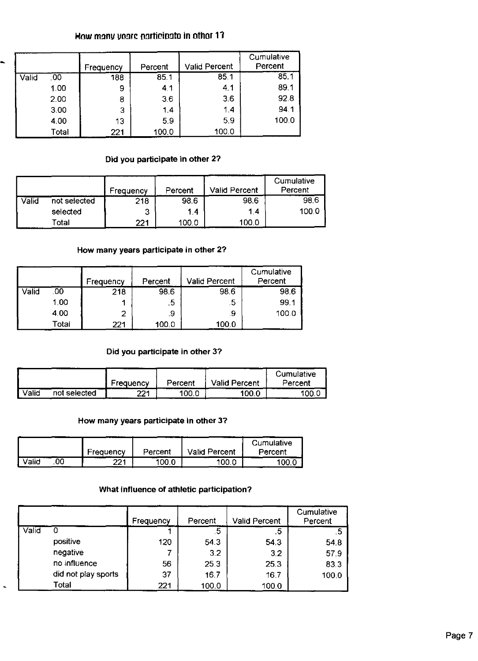## **How many years participate in other 17**

|       |       | Frequency | Percent | <b>Valid Percent</b> | Cumulative<br>Percent |
|-------|-------|-----------|---------|----------------------|-----------------------|
| Valid | .00   | 188       | 85.1    | 85.1                 | 85.1                  |
|       | 1.00  | 9         | 4.1     | 4.1                  | 89.1                  |
|       | 2.00  | 8         | 3.6     | 3.6                  | 92.8                  |
|       | 3.00  | 3         | 1.4     | 1.4                  | 94.1                  |
|       | 4.00  | 13        | 5.9     | 59                   | 100.0                 |
|       | Total | 221       | 100.0   | 100.0                |                       |

### **Did you participate in other 2?**

|       |              | Frequency | Percent | <b>Valid Percent</b> | Cumulative<br>Percent |
|-------|--------------|-----------|---------|----------------------|-----------------------|
| Valid | not selected | 218       | 98.6    | 98.6                 | 986                   |
|       | selected     | 3         | 1.4     | 14                   | 100.0                 |
|       | Total        | 221       | 100.0   | 100.0                |                       |

### **How** many **years participate in other 2?**

|       |       | Frequency | Percent | Valid Percent | Cumulative<br>Percent |
|-------|-------|-----------|---------|---------------|-----------------------|
| Valid | .00   | 218       | 98.6    | 98.6          | 98.6                  |
|       | 1.00  |           | .5      | .5            | 99.1                  |
|       | 4.00  | 2         | .9      | .9            | 100.0                 |
|       | Total | 221       | 100.0   | 100.0         |                       |

### **Did you participate in other 3?**

|         |              | Frequency | Percent | <b>Valid Percent</b> | Cumulative<br>Percent |
|---------|--------------|-----------|---------|----------------------|-----------------------|
| l Valid | not selected | 221       | 100.0   | 100.0                | 100 J                 |

### **How** many **years participate in other 3?**

 $\overline{\phantom{0}}$ 

|             | Frequency | Percent      | <b>Valid Percent</b> | Cumulative<br>Percent |
|-------------|-----------|--------------|----------------------|-----------------------|
| 00<br>√alid | ימי       | $-1001$<br>. | 100.                 | 100                   |

## **What influence of athletic participation?**

|       |                     | Frequency | Percent | <b>Valid Percent</b> | Cumulative<br>Percent |
|-------|---------------------|-----------|---------|----------------------|-----------------------|
| Valid |                     |           | .5.     | .5                   | .5                    |
|       | positive            | 120       | 54.3    | 54.3                 | 54.8                  |
|       | negative            |           | 3.2     | 3.2                  | 57.9                  |
|       | no influence        | 56        | 25.3    | 25.3                 | 83.3                  |
|       | did not play sports | 37        | 16.7    | 16.7                 | 100.0                 |
|       | <b>Total</b>        | 221       | 100.0   | 100.0                |                       |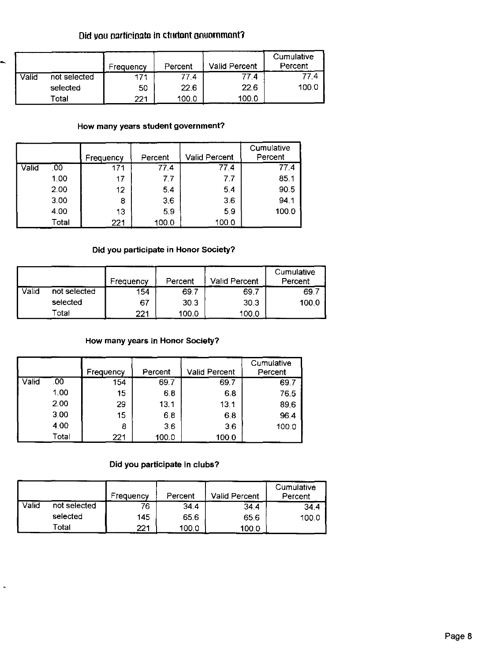## **Did you participate in ctudont government?**

|       |              | Frequency | Percent | Valid Percent | Cumulative<br>Percent |
|-------|--------------|-----------|---------|---------------|-----------------------|
| Valid | not selected |           | 77.4    | 77 A          | 77 4                  |
|       | selected     | 50        | 22.6    | 22.6          | 100.0                 |
|       | Total        | 221       | 100.0   | 100.0         |                       |

### **How** many **years student government?**

|       |       | Frequency | Percent | <b>Valid Percent</b> | Cumulative<br>Percent |
|-------|-------|-----------|---------|----------------------|-----------------------|
| Valid | 00    | 171       | 77.4    | 77.4                 | 77.4                  |
|       | 1.00  | 17        | 7.7     | 7.7                  | 85.1                  |
|       | 2.00  | 12        | 5.4     | 5,4                  | 90.5                  |
|       | 3.00  | 8         | 3.6     | 3.6                  | 94 1                  |
|       | 4.00  | 13        | 5.9     | 5.9                  | 100.0                 |
|       | Total | 221       | 100.0   | 100.0                |                       |

#### **Did you participate in Honor SOCiety?**

|       |              | Frequency | Percent | <b>Valid Percent</b> | Cumulative<br>Percent |
|-------|--------------|-----------|---------|----------------------|-----------------------|
| Valid | not selected | 154       | 69.7    | 69.7                 | 69.                   |
|       | selected     | -67       | 30.3    | 30.3                 | 100.0                 |
|       | Total        | 221       | 100.0   | 100.0                |                       |

#### **How many years in Honor Society?**

|       |       | Frequency | Percent | <b>Valid Percent</b> | Cumulative<br>Percent |
|-------|-------|-----------|---------|----------------------|-----------------------|
| Valid | .00   | 154       | 69.7    | 69.7                 | 69.7                  |
|       | 1.00  | 15        | 6.8     | 6.8                  | 76.5                  |
|       | 2.00  | 29        | 13.1    | 13.1                 | 89.6                  |
|       | 3.00  | 15        | 6.8     | 6.8                  | 96.4                  |
|       | 4.00  | 8         | 3.6     | 3.6                  | 100.0                 |
|       | Total | 221       | 100.0   | 100.0                |                       |

### **Did you participate in clubs?**

|       |              | Frequency | Percent | <b>Valid Percent</b> | Cumulative<br>Percent |
|-------|--------------|-----------|---------|----------------------|-----------------------|
| Valid | not selected | 76        | 34.4    | 34.4                 | 34.4                  |
|       | selected     | 145       | 65.6    | 65.6                 | 100.0                 |
|       | Гоtal        | 221       | 100.0   | 100.0                |                       |

 $\ddot{\phantom{0}}$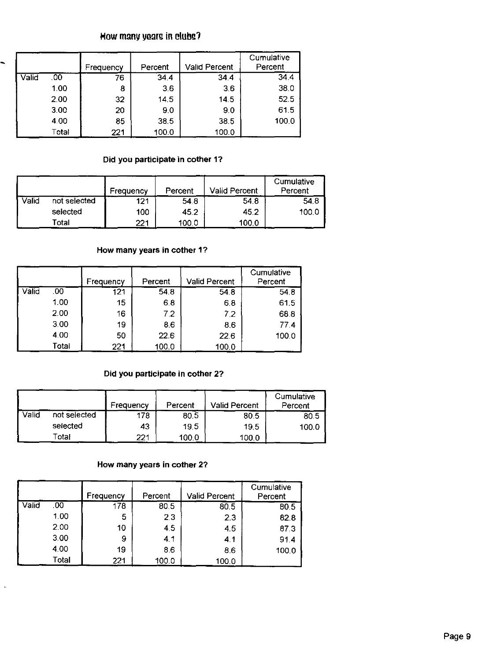### How many years in clubs?

|       |       | Frequency | Percent | <b>Valid Percent</b> | Cumulative<br>Percent |
|-------|-------|-----------|---------|----------------------|-----------------------|
| Valid | .00   | 76        | 34.4    | 34.4                 | 34.4                  |
|       | 1.00  | 8         | 3.6     | 3.6                  | 38.0                  |
|       | 2.00  | 32        | 14.5    | 14.5                 | 52.5                  |
|       | 3.00  | 20        | 9,0     | 9.0                  | 61.5                  |
|       | 4.00  | 85        | 38.5    | 38.5                 | 100.0                 |
|       | Total | 221       | 100.0   | 100.0                |                       |

### Did you participate in cother 1?

|       |              | Frequency | Percent | <b>Valid Percent</b> | Cumulative<br>Percent |
|-------|--------------|-----------|---------|----------------------|-----------------------|
| Valid | not selected | 121       | 54.8    | 54.8                 | 54.8                  |
|       | selected     | 100       | 45.2    | 45.2                 | 100.0                 |
|       | Total        | 221       | 100.0   | 100.0                |                       |

### How many years in cother 1?

|       |       | Frequency | Percent | <b>Valid Percent</b> | Cumulative<br>Percent |
|-------|-------|-----------|---------|----------------------|-----------------------|
| Valid | .00   | 121       | 54.8    | 54.8                 | 54.8                  |
|       | 1.00  | 15        | 6.8     | 6.8                  | 61.5                  |
|       | 2.00  | 16        | 7.2     | 7.2                  | 68.8                  |
|       | 3.00  | 19        | 8.6     | 8.6                  | 774                   |
|       | 4.00  | 50        | 22.6    | 22.6                 | 100.0                 |
|       | Total | 221       | 100.0   | 100.0                |                       |

### Did you participate in cother 2?

|       |              | Frequency | Percent | <b>Valid Percent</b> | Cumulative<br>Percent |
|-------|--------------|-----------|---------|----------------------|-----------------------|
| Valid | not selected | 178       | 80.5    | 80.5                 | 80.5                  |
|       | selected     | 43        | 19.5    | 19.5                 | 100.0                 |
|       | Total        | 221       | 100.0   | 100.0                |                       |

### How many years in cother 2?

|       |       | Frequency | Percent | Valid Percent | Cumulative<br>Percent |
|-------|-------|-----------|---------|---------------|-----------------------|
| Valid | .00   | 178       | 80.5    | 80.5          | 80.5                  |
|       | 1.00  | 5         | 2.3     | 2.3           | 82.8                  |
|       | 2.00  | 10        | 4.5     | 4.5           | 87.3                  |
|       | 3.00  | 9         | 4.1     | 4.1           | 914                   |
|       | 4.00  | 19        | 8.6     | 8.6           | 1000                  |
|       | Total | 221       | 100.0   | 100.0         |                       |

 $\overline{\phantom{a}}$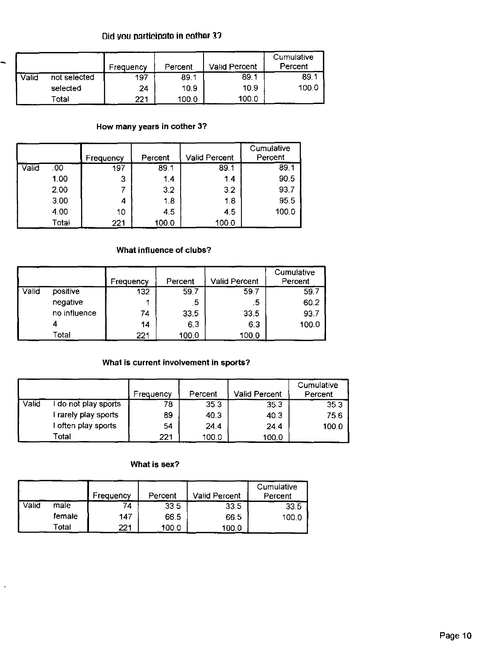### **Did you participate in cother 37**

|       |              | Frequency | Percent | <b>Valid Percent</b> | Cumulative<br>Percent |
|-------|--------------|-----------|---------|----------------------|-----------------------|
| Valid | not selected | 197       | 89.1    | 89.1                 | 89.1                  |
|       | selected     | 24        | 10.9    | 10.9                 | 100.0                 |
|       | Total        | 221       | 100.0   | 100.0                |                       |

## **How many years in cother 3?**

|       |       | Frequency | Percent | <b>Valid Percent</b> | Cumulative<br>Percent |
|-------|-------|-----------|---------|----------------------|-----------------------|
| Valid | .00   | 197       | 89.1    | 89.1                 | 89.1                  |
|       | 1.00  | 3         | 1.4     | 1.4                  | 90.5                  |
|       | 2.00  |           | 3.2     | 3.2                  | 93.7                  |
|       | 3.00  | 4         | 1.8     | 1.8                  | 955                   |
|       | 4.00  | 10        | 4.5     | 4.5                  | 100.0                 |
|       | Total | 221       | 100.0   | 100.0                |                       |

#### **What influence of clubs?**

|       |              | Frequency | Percent | <b>Valid Percent</b> | Cumulative<br>Percent |
|-------|--------------|-----------|---------|----------------------|-----------------------|
| Valid | positive     | 132       | 59.7    | 59.7                 | 59.7                  |
|       | negative     |           | 5       | .5                   | 60.2                  |
|       | no influence | 74        | 33.5    | 33.5                 | 93.7                  |
|       |              | 14        | 6,3     | 6.3                  | 100.0                 |
|       | Total        | 221       | 100.0   | 100.0                |                       |

### **What is current involvement in sports?**

|       |                      | Frequency | Percent | <b>Valid Percent</b> | Cumulative<br>Percent |
|-------|----------------------|-----------|---------|----------------------|-----------------------|
| Valid | do not play sports   | 78        | 35.3    | 35.3                 | 353                   |
|       | i rarely play sports | 89        | 40.3    | 40.3                 | 75.6                  |
|       | I often play sports  | 54        | 24.4    | 24.4                 | 100.0                 |
|       | Total                | 221       | 100.0   | 100.0                |                       |

**What is sex?** 

|       |        | Frequency | Percent | <b>Valid Percent</b> | Cumulative<br>Percent |
|-------|--------|-----------|---------|----------------------|-----------------------|
| Valid | male   | 74        | 33.5    | 33.5                 | 33.5                  |
|       | female | 147       | 66.5    | 66.5                 | 100.0                 |
|       | Total  | 221       | 100.0   | 100.0                |                       |

l,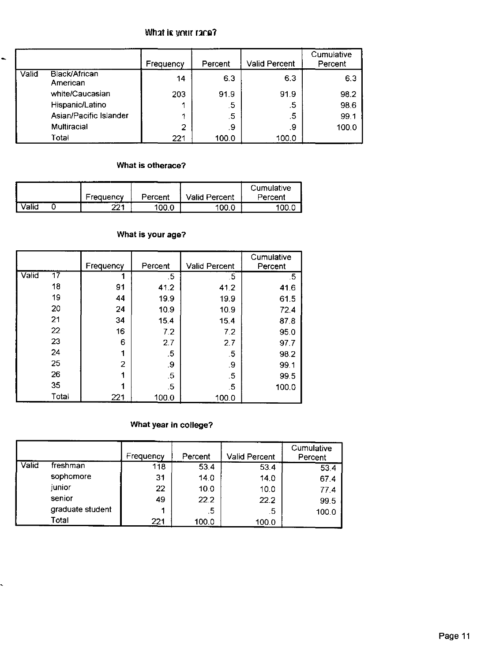### **What is your race?**

|       |                                  | Frequency | Percent | <b>Valid Percent</b> | Cumulative<br>Percent |
|-------|----------------------------------|-----------|---------|----------------------|-----------------------|
| Valid | <b>Black/African</b><br>American | 14        | 6.3     | 6.3                  | 6.3                   |
|       | white/Caucasian                  | 203       | 91.9    | 91.9                 | 98.2                  |
|       | Hispanic/Latino                  |           | .5      | .5                   | 98.6                  |
|       | Asian/Pacific Islander           |           | .5      | .5                   | 99.1                  |
|       | Multiracial                      | 2         | .9      | .9                   | 100.0                 |
|       | Total                            | 221       | 100.0   | 100.0                |                       |

#### **What is** otherace?

-

ï

|       | Frequency | Percent | <b>Valid Percent</b> | Cumulative<br>Percent |
|-------|-----------|---------|----------------------|-----------------------|
| Valid | 221       | 100.0   | 100.0                | 100 C                 |

### **What is your** age?

|       |                 | Frequency | Percent | <b>Valid Percent</b> | Cumulative<br>Percent |
|-------|-----------------|-----------|---------|----------------------|-----------------------|
| Valid | $\overline{17}$ |           | .5      | .5                   | .5                    |
|       | 18              | 91        | 41.2    | 41.2                 | 41.6                  |
|       | 19              | 44        | 19.9    | 19.9                 | 61.5                  |
|       | 20              | 24        | 10.9    | 10.9                 | 72.4                  |
|       | 21              | 34        | 15.4    | 15.4                 | 87.8                  |
|       | 22              | 16        | 7.2     | 7.2                  | 95.0                  |
|       | 23              | 6         | 2.7     | 2.7                  | 97.7                  |
|       | 24              |           | .5      | .5                   | 98.2                  |
|       | 25              | 2         | .9      | .9                   | 99.1                  |
|       | 26              |           | .5      | .5                   | 99.5                  |
|       | 35              |           | .5      | .5                   | 100.0                 |
|       | Total           | 221       | 100.0   | 100.0                |                       |

### **What year** in college?

|       |                  | Frequency | Percent | Valid Percent | Cumulative<br>Percent |
|-------|------------------|-----------|---------|---------------|-----------------------|
| Valid | freshman         | 118       | 53.4    | 53.4          | 53.4                  |
|       | sophomore        | 31        | 14.0    | 14.0          | 67.4                  |
|       | junior           | 22        | 10.0    | 10.0          | 77.4                  |
|       | senior           | 49        | 22.2    | 22.2          | 99.5                  |
|       | graduate student |           | .5      | .5            | 100.0                 |
|       | Total            | 221       | 100.0   | 100.0         |                       |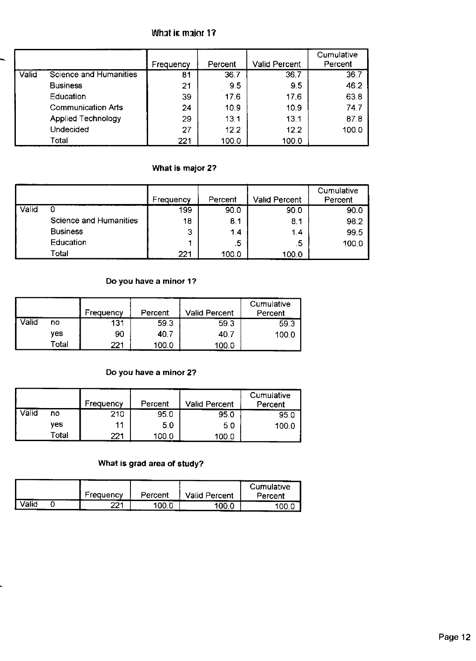### **What is major 17**

|       |                               | Frequency | Percent | Valid Percent | Cumulative<br>Percent |
|-------|-------------------------------|-----------|---------|---------------|-----------------------|
| Valid | <b>Science and Humanities</b> | 81        | 36.7    | 36.7          | 36.7                  |
|       | <b>Business</b>               | 21        | 9.5     | 9.5           | 46.2                  |
|       | Education                     | 39        | 17.6    | 17.6          | 63.8                  |
|       | <b>Communication Arts</b>     | 24        | 10.9    | 10.9          | 747                   |
|       | <b>Applied Technology</b>     | 29        | 13.1    | 13.1          | 87.8                  |
|       | Undecided                     | 27        | 12.2    | 12.2          | 100.0                 |
|       | Total                         | 221       | 100.0   | 100.0         |                       |

### **What is major 2?**

|       |                        | Frequency | Percent | <b>Valid Percent</b> | Cumulative<br>Percent |
|-------|------------------------|-----------|---------|----------------------|-----------------------|
| Valid |                        | 199       | 90.0    | 90.0                 | 90.0                  |
|       | Science and Humanities | 18        | 8.1     | 8.1                  | 98.2                  |
|       | <b>Business</b>        | 3         | 1.4     | 1.4                  | 99.5                  |
|       | Education              |           | .5      | .5                   | 100.0                 |
|       | Total                  | 221       | 100.0   | 100.0                |                       |

### **Do you have a minor** 1?

|       |       | Frequency | Percent | <b>Valid Percent</b> | Cumulative<br>Percent |
|-------|-------|-----------|---------|----------------------|-----------------------|
| Valid | no    | 131       | 59.3    | 59.3                 | 59.3                  |
|       | ves   | 90        | 40.7    | 40.7                 | 100.0                 |
|       | Total | 221       | 100.0   | 100.0                |                       |

## **Do you have a minor 2?**

|       |       | . Frequency | Percent | <b>Valid Percent</b> | Cumulative<br>Percent |
|-------|-------|-------------|---------|----------------------|-----------------------|
| Valid | no    | 210         | 95.0    | 95.0                 | 95.0                  |
|       | ves   | 11          | 5.0     | 5.0                  | 100.0                 |
|       | Total | 221         | 100.0   | 100.0                |                       |

### **What is grad area of study?**

|       | Frequency   | Percent | <b>Valid Percent</b> | Cumulative<br>Percent |
|-------|-------------|---------|----------------------|-----------------------|
| Valid | ר ממ<br>2Z. | 100.0   | 100.0                | 100.                  |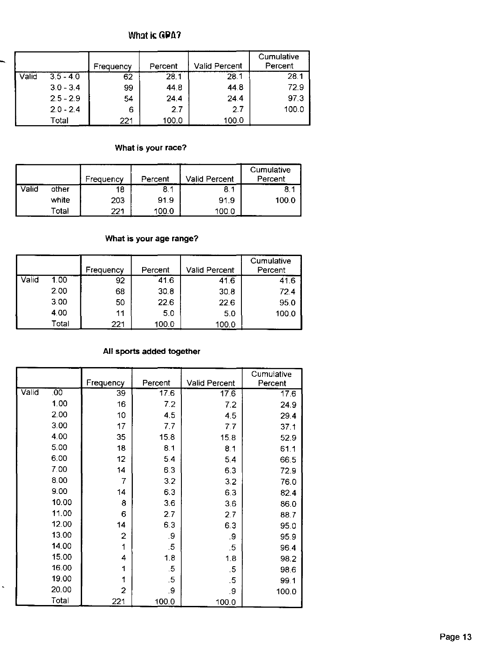#### **What is GPA?**

|       |             | Frequency | Percent | <b>Valid Percent</b> | Cumulative<br>Percent |
|-------|-------------|-----------|---------|----------------------|-----------------------|
| Valid | $3.5 - 4.0$ | 62        | 28.1    | 28.1                 | 28.1                  |
|       | $3.0 - 3.4$ | 99        | 44.8    | 44.8                 | 72.9                  |
|       | $2.5 - 2.9$ | 54        | 24.4    | 24.4                 | 973                   |
|       | $2.0 - 2.4$ | 6         | 2.7     | 2.7                  | 100.0                 |
|       | Total       | 221       | 100.0   | 100.0                |                       |

### **What is your** race?

|       |       | Frequency | Percent | <b>Valid Percent</b> | Cumulative<br>Percent |
|-------|-------|-----------|---------|----------------------|-----------------------|
| Valid | other | 18        | 8.1     | 8.1                  | 8.                    |
|       | white | 203       | 91.9    | 91.9                 | 100.0                 |
|       | Total | 221       | 100.0   | 100.0                |                       |

## **What is your** age **range?**

|       |       | Frequency | Percent | <b>Valid Percent</b> | Cumulative<br>Percent |
|-------|-------|-----------|---------|----------------------|-----------------------|
| Valid | 1.00  | 92        | 41.6    | 41.6                 | 41.6                  |
|       | 2.00  | 68        | 30.8    | 30.8                 | 72.4                  |
|       | 3.00  | 50        | 22.6    | 22.6                 | 95.0                  |
|       | 4.00  | 11        | 5.0     | 5.0                  | 100.0                 |
|       | Total | 221       | 100.0   | 100.0                |                       |

### **All sports added together**

|       |                |                |         |                      | Cumulative |
|-------|----------------|----------------|---------|----------------------|------------|
|       |                | Frequency      | Percent | <b>Valid Percent</b> | Percent    |
| Valid | $\overline{3}$ | 39             | 17.6    | 17.6                 | 176        |
|       | 1.00           | 16             | 7.2     | 7.2                  | 24.9       |
|       | 2.00           | 10             | 4.5     | 4.5                  | 29.4       |
|       | 3.00           | 17             | 7.7     | 7.7                  | 37.1       |
|       | 4.00           | 35             | 15.8    | 15.8                 | 52.9       |
|       | 5.00           | 18             | 8.1     | 8,1                  | 61.1       |
|       | 6.00           | 12             | 5.4     | 5.4                  | 66.5       |
|       | 7.00           | 14             | 6.3     | 6.3                  | 72.9       |
|       | 8.00           | 7              | 3.2     | 3.2                  | 76.0       |
|       | 9.00           | 14             | 6.3     | 6.3                  | 82.4       |
|       | 10.00          | 8              | 3.6     | 3.6                  | 86.0       |
|       | 11.00          | 6              | 2.7     | 2.7                  | 88.7       |
|       | 12.00          | 14             | 6,3     | 6.3                  | 95.0       |
|       | 13.00          | $\overline{c}$ | .9      | .9                   | 95.9       |
|       | 14.00          | 1              | .5      | .5                   | 964        |
|       | 15.00          | 4              | 1.8     | 1.8                  | 98.2       |
|       | 16.00          | 1              | .5      | .5                   | 98.6       |
|       | 19.00          | 1              | .5      | .5                   | 99.1       |
|       | 20.00          | 2              | .9      | .9                   | 100.0      |
|       | Total          | 221            | 100.0   | 100.0                |            |

ł,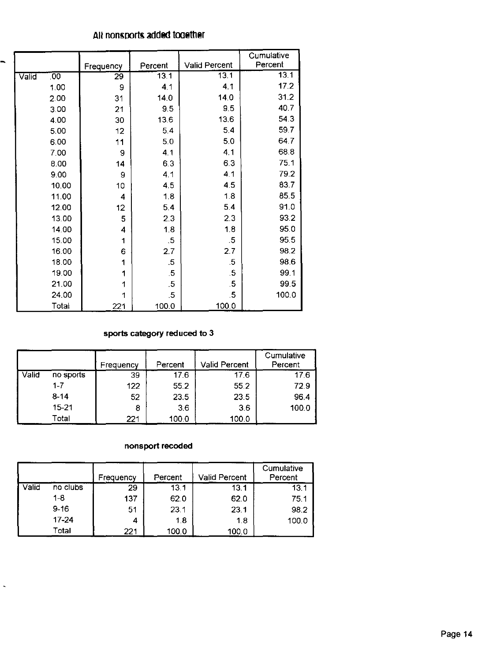# All nonsports added together

.

 $\ddot{\phantom{0}}$ 

|       |                 |           |                |                      | Cumulative |
|-------|-----------------|-----------|----------------|----------------------|------------|
|       |                 | Frequency | Percent        | <b>Valid Percent</b> | Percent    |
| Valid | $\overline{00}$ | 29        | 13.1           | 13.1                 | 13.1       |
|       | 1.00            | 9         | 4.1            | 4.1                  | 17.2       |
|       | 200             | 31        | 14.0           | 14.0                 | 31.2       |
|       | 3.00            | 21        | 9.5            | 9.5                  | 40.7       |
|       | 4.00            | 30        | 13.6           | 13.6                 | 54.3       |
|       | 5.00            | 12        | 5.4            | 5.4                  | 59.7       |
|       | 6.00            | 11        | 5.0            | 5.0                  | 64.7       |
|       | 7.00            | 9         | 4.1            | 4.1                  | 68.8       |
|       | 8.00            | 14        | 6.3            | 6.3                  | 75.1       |
|       | 9.00            | 9         | 4.1            | 4.1                  | 79.2       |
|       | 10.00           | 10        | 4.5            | 4.5                  | 83.7       |
|       | 11.00           | 4         | 1.8            | 1.8                  | 85.5       |
|       | 12.00           | 12        | 5.4            | 5.4                  | 91.0       |
|       | 13.00           | 5         | 2.3            | 2.3                  | 93.2       |
|       | 14.00           | 4         | 1.8            | 1.8                  | 95.0       |
|       | 15.00           | 1         | $.5\,$         | .5                   | 95.5       |
|       | 16.00           | 6         | 2.7            | 2.7                  | 98.2       |
|       | 18.00           | 1         | .5             | $.5\,$               | 98.6       |
|       | 19.00           | 1         | $.5\,$         | .5                   | 99.1       |
|       | 21.00           | 1         | $.5\,$         | $.5\,$               | 995        |
|       | 24.00           |           | $\overline{5}$ | $.5\,$               | 100.0      |
|       | Total           | 221       | 100.0          | 100.0                |            |

## sports category reduced to 3

|       |           | Frequency | Percent | Valid Percent | Cumulative<br>Percent |
|-------|-----------|-----------|---------|---------------|-----------------------|
| Valid | no sports | 39        | 17.6    | 17.6          | 17.6                  |
|       | $1 - 7$   | 122       | 55.2    | 55.2          | 72.9                  |
|       | $8 - 14$  | 52        | 23.5    | 23.5          | 96.4                  |
|       | $15 - 21$ | 8         | 3.6     | 3.6           | 100.0                 |
|       | Total     | 221       | 100.0   | 100.0         |                       |

### nons port **recoded**

|       |           | Frequency | Percent | <b>Valid Percent</b> | Cumulative<br>Percent |
|-------|-----------|-----------|---------|----------------------|-----------------------|
| Valid | no clubs  | 29        | 13.1    | 13.1                 | 13.1                  |
|       | $1 - 8$   | 137       | 62.0    | 62.0                 | 75.1                  |
|       | $9 - 16$  | 51        | 23.1    | 23.1                 | 98.2                  |
|       | $17 - 24$ | 4         | 1.8     | 1.8                  | 100.0                 |
|       | Total     | 221       | 100.0   | 100.0                |                       |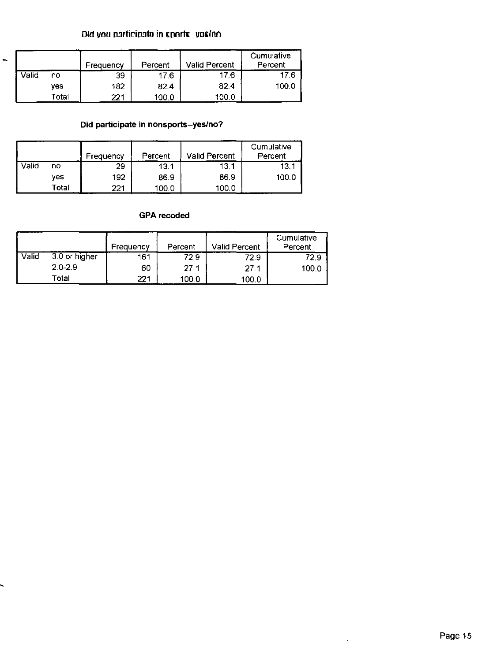### Did you participato in cports vosino

 $\ddot{\phantom{1}}$ 

|       |       | Frequency | Percent | <b>Valid Percent</b> | Cumulative<br>Percent |
|-------|-------|-----------|---------|----------------------|-----------------------|
| Valid | no    | 39        | 17.6    | 176                  | 17.6                  |
|       | ves   | 182       | 82.4    | 82.4                 | 1000                  |
|       | Total | 221       | 100.0   | 100.0                |                       |

### **Did participate in nonsports-yes/no?**

|       |       | Frequency | Percent | <b>Valid Percent</b> | Cumulative<br>Percent |
|-------|-------|-----------|---------|----------------------|-----------------------|
| Valid | no    | 29        | 13.1    | 13.1                 | 13.1                  |
|       | ves   | 192       | 86.9    | 86.9                 | 100.0                 |
|       | Total | 221       | 100.0   | 100.0                |                       |

### **GPA recoded**

|       |               | Frequency | Percent | <b>Valid Percent</b> | Cumulative<br>Percent |
|-------|---------------|-----------|---------|----------------------|-----------------------|
| Valid | 3.0 or higher | 161       | 72.9    | 72.9                 | 72.9                  |
|       | $2.0 - 2.9$   | 60        | 27.1    | 27.1                 | 100.0                 |
|       | Total         | 221       | 100.0   | 100.0                |                       |

 $\bar{\gamma}$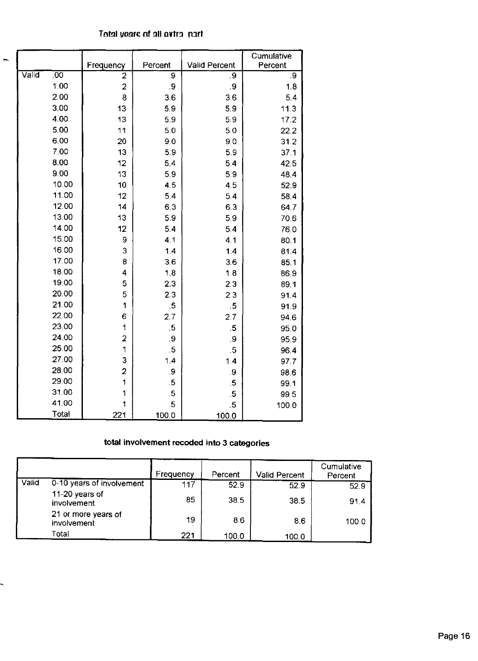### **Total yoars of all oxtra nart**

|       |                  |                      |                 |                      | Cumulative      |
|-------|------------------|----------------------|-----------------|----------------------|-----------------|
|       |                  | Frequency            | Percent         | <b>Valid Percent</b> | Percent         |
| Valid | $\overline{.00}$ | $\overline{2}$       | $\overline{.9}$ | $\overline{9}$       | $\overline{9}$  |
|       | 1.00             | $\overline{a}$       | .9              | 9                    | 1.8             |
|       | 2.00             | 8                    | 3.6             | 3.6                  | 5.4             |
|       | 3.00             | 13                   | 5.9             | 5.9                  | 11.3            |
|       | 4.00             | 13                   | 5.9             | 5.9                  | 17.2            |
|       | 5.00             | 11                   | 5.0             | 5.0                  | 22.2            |
|       | 6.00             | 20                   | 9.0             | 9.0                  | 31.2            |
|       | 7.00             | 13                   | 5.9             | 5.9                  | 37 <sub>1</sub> |
|       | 8.00             | 12                   | 5.4             | 5.4                  | 42.5            |
|       | 9.00             | 13                   | 5.9             | 5.9                  | 48.4            |
|       | 10.00            | 10                   | 4.5             | 4.5                  | 52.9            |
|       | 11.00            | 12                   | 5.4             | 5.4                  | 58.4            |
|       | 12.00            | 14                   | 6.3             | 6.3                  | 647             |
|       | 13.00            | 13                   | 5.9             | 5.9                  | 70.6            |
|       | 14.00            | 12                   | 5.4             | 5.4                  | 76.0            |
|       | 15.00            | 9                    | 4.1             | 4.1                  | 80.1            |
|       | 16.00            | 3                    | 1.4             | 1.4                  | 81.4            |
|       | 17.00            | 8                    | 3.6             | 3.6                  | 85.1            |
|       | 18.00            | 4                    | 1.8             | 1.8                  | 86.9            |
|       | 19.00            | 5                    | 2.3             | 2.3                  | 89.1            |
|       | 20.00            | 5                    | 2.3             | 2.3                  | 91.4            |
|       | 21.00            | 1                    | $\overline{5}$  | .5                   | 91.9            |
|       | 22.00            | 6                    | 2.7             | 2.7                  | 94.6            |
|       | 23.00            | 1                    | $.5\,$          | $.5\,$               | 95.0            |
|       | 24.00            | $\overline{a}$       | $\overline{.9}$ | $9^{\circ}$          | 95.9            |
|       | 25.00            | 1                    | $.5\,$          | .5                   | 96.4            |
|       | 27.00            | 3                    | 1.4             | 1.4                  | 97.7            |
|       | 28.00            | $\overline{a}$       | .9              | .9                   | 98.6            |
|       | 29.00            | $\ddot{\phantom{1}}$ | $\overline{5}$  | $\overline{.5}$      | 99.1            |
|       | 31.00            | 1                    | $.5\,$          | $\overline{.5}$      | 99.5            |
|       | 41.00            | 1                    | $\overline{5}$  | $\overline{5}$       | 100.0           |
|       | Total            | 221                  | 100.0           | 100.0                |                 |

### **total involvement recoded into 3 categories**

|       |                                    | Frequency | Percent | Valid Percent | Cumulative<br>Percent |
|-------|------------------------------------|-----------|---------|---------------|-----------------------|
| Valid | 0-10 years of involvement          | 117       | 52.9    | 52.9          | 52.9                  |
|       | 11-20 years of<br>involvement      | 85        | 38.5    | 38.5          | 91.4                  |
|       | 21 or more years of<br>involvement | 19        | 8.6     | 8.6           | 100.0                 |
|       | Total                              | 221       | 100.0   | 100.0         |                       |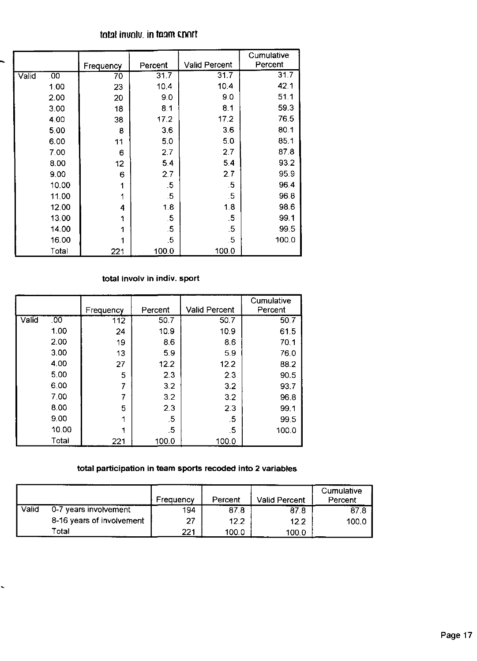### total involv. in toam coort

|       |       | Frequency | Percent | <b>Valid Percent</b> | Cumulative<br>Percent |
|-------|-------|-----------|---------|----------------------|-----------------------|
| Valid | .00   | 70        | 31.7    | 31.7                 | 31.7                  |
|       | 1.00  | 23        | 10.4    | 10.4                 | 42.1                  |
|       | 2.00  | 20        | 9.0     | 90                   | 51.1                  |
|       | 3.00  | 18        | 8.1     | 8.1                  | 59.3                  |
|       | 4.00  | 38        | 17.2    | 17.2                 | 76.5                  |
|       | 5.00  | 8         | 3.6     | 36                   | 801                   |
|       | 6.00  | 11        | 5.0     | 5.0                  | 85.1                  |
|       | 7.00  | 6         | 2.7     | 2.7                  | 87.8                  |
|       | 8.00  | 12        | 5.4     | 5.4                  | 93.2                  |
|       | 9.00  | 6         | 2.7     | 2.7                  | 95.9                  |
|       | 10.00 |           | .5      | .5                   | 96.4                  |
|       | 11.00 |           | .5      | .5                   | 96.8                  |
|       | 12.00 | 4         | 1.8     | 1.8                  | 98.6                  |
|       | 13.00 |           | .5      | .5                   | 99.1                  |
|       | 14.00 |           | $.5\,$  | .5                   | 99.5                  |
|       | 16.00 |           | $.5\,$  | .5                   | 100.0                 |
|       | Total | 221       | 100.0   | 100.0                |                       |

#### total involv in indiv. sport

|       |       | Frequency | Percent | <b>Valid Percent</b> | Cumulative<br>Percent |
|-------|-------|-----------|---------|----------------------|-----------------------|
| Valid | .00   | 112       | 50.7    | 50.7                 | 50.7                  |
|       | 1.00  | 24        | 10.9    | 10.9                 | 61.5                  |
|       | 2.00  | 19        | 8.6     | 8.6                  | 70.1                  |
|       | 3.00  | 13        | 5.9     | 5.9                  | 76.0                  |
|       | 4.00  | 27        | 12.2    | 12.2                 | 88.2                  |
|       | 5.00  | 5         | 2.3     | 2.3                  | 90.5                  |
|       | 6.00  | 7         | 3.2     | 3.2                  | 93.7                  |
|       | 7.00  | 7         | 3.2     | 3.2                  | 96.8                  |
|       | 8.00  | 5         | 2.3     | 2.3                  | 99.1                  |
|       | 9.00  | 4         | .5      | .5                   | 99.5                  |
|       | 10.00 |           | .5      | .5                   | 100.0                 |
|       | Total | 221       | 100.0   | 100.0                |                       |

#### total participation in team sports recoded into 2 variables

|       |                           | Frequency | Percent | <b>Valid Percent</b> | Cumulative<br>Percent |
|-------|---------------------------|-----------|---------|----------------------|-----------------------|
| Valid | 0-7 years involvement     | 194       | 87.8    | 87.8                 | 87.8                  |
|       | 8-16 years of involvement | 27        | 12.2    | 12.2                 | 100.0                 |
|       | Total                     | 221       | 100.0   | 100.0                |                       |